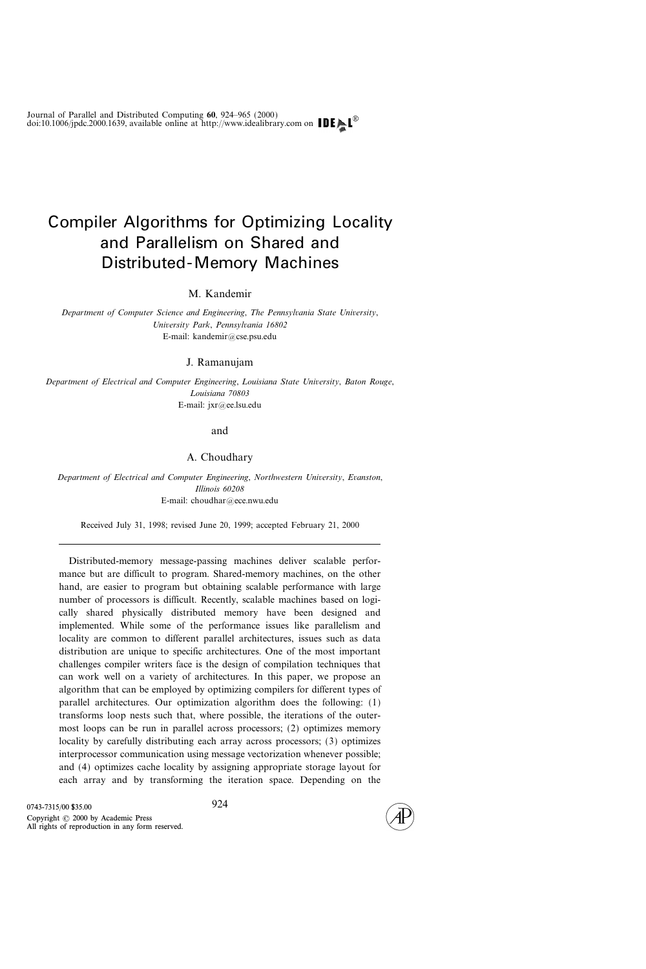# Compiler Algorithms for Optimizing Locality and Parallelism on Shared and Distributed-Memory Machines

M. Kandemir

Department of Computer Science and Engineering, The Pennsylvania State University, University Park, Pennsylvania 16802 E-mail: kandemir@cse.psu.edu

## J. Ramanujam

Department of Electrical and Computer Engineering, Louisiana State University, Baton Rouge, Louisiana 70803 E-mail: jxr@ee.lsu.edu

and

# A. Choudhary

Department of Electrical and Computer Engineering, Northwestern University, Evanston, Illinois 60208 E-mail: choudhar@ece.nwu.edu

Received July 31, 1998; revised June 20, 1999; accepted February 21, 2000

Distributed-memory message-passing machines deliver scalable performance but are difficult to program. Shared-memory machines, on the other hand, are easier to program but obtaining scalable performance with large number of processors is difficult. Recently, scalable machines based on logically shared physically distributed memory have been designed and implemented. While some of the performance issues like parallelism and locality are common to different parallel architectures, issues such as data distribution are unique to specific architectures. One of the most important challenges compiler writers face is the design of compilation techniques that can work well on a variety of architectures. In this paper, we propose an algorithm that can be employed by optimizing compilers for different types of parallel architectures. Our optimization algorithm does the following: (1) transforms loop nests such that, where possible, the iterations of the outermost loops can be run in parallel across processors; (2) optimizes memory locality by carefully distributing each array across processors; (3) optimizes interprocessor communication using message vectorization whenever possible; and (4) optimizes cache locality by assigning appropriate storage layout for each array and by transforming the iteration space. Depending on the

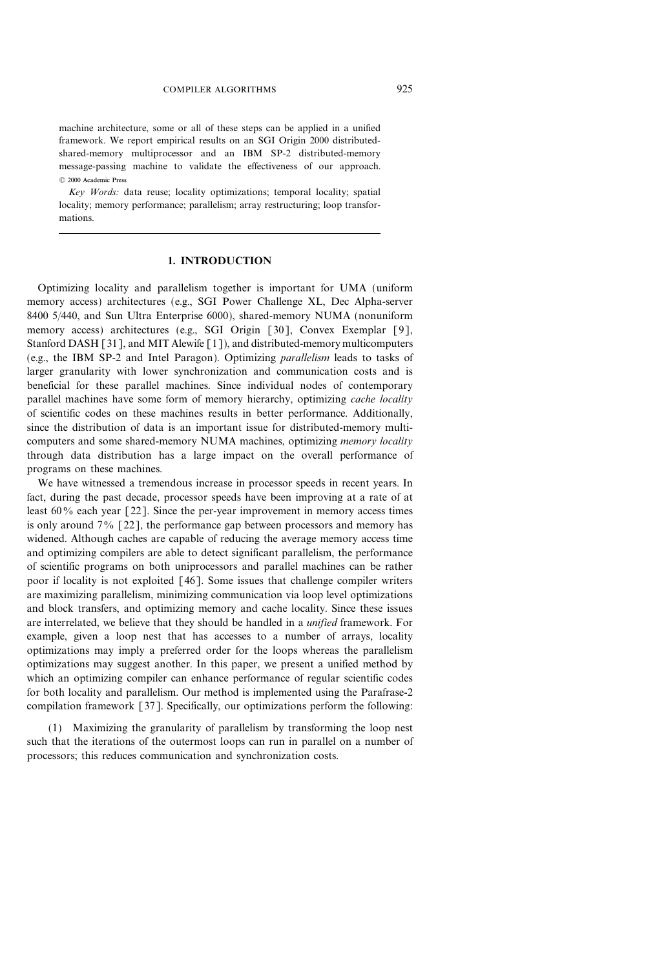machine architecture, some or all of these steps can be applied in a unified framework. We report empirical results on an SGI Origin 2000 distributedshared-memory multiprocessor and an IBM SP-2 distributed-memory message-passing machine to validate the effectiveness of our approach. 2000 Academic Press

Key Words: data reuse; locality optimizations; temporal locality; spatial locality; memory performance; parallelism; array restructuring; loop transformations.

# 1. INTRODUCTION

Optimizing locality and parallelism together is important for UMA (uniform memory access) architectures (e.g., SGI Power Challenge XL, Dec Alpha-server 8400 5440, and Sun Ultra Enterprise 6000), shared-memory NUMA (nonuniform memory access) architectures (e.g., SGI Origin [30], Convex Exemplar [9], Stanford DASH [31], and MIT Alewife [1]), and distributed-memory multicomputers (e.g., the IBM SP-2 and Intel Paragon). Optimizing parallelism leads to tasks of larger granularity with lower synchronization and communication costs and is beneficial for these parallel machines. Since individual nodes of contemporary parallel machines have some form of memory hierarchy, optimizing *cache locality* of scientific codes on these machines results in better performance. Additionally, since the distribution of data is an important issue for distributed-memory multicomputers and some shared-memory NUMA machines, optimizing *memory locality* through data distribution has a large impact on the overall performance of programs on these machines.

We have witnessed a tremendous increase in processor speeds in recent years. In fact, during the past decade, processor speeds have been improving at a rate of at least  $60\%$  each year  $\lceil 22 \rceil$ . Since the per-year improvement in memory access times is only around  $7\%$  [22], the performance gap between processors and memory has widened. Although caches are capable of reducing the average memory access time and optimizing compilers are able to detect significant parallelism, the performance of scientific programs on both uniprocessors and parallel machines can be rather poor if locality is not exploited [46]. Some issues that challenge compiler writers are maximizing parallelism, minimizing communication via loop level optimizations and block transfers, and optimizing memory and cache locality. Since these issues are interrelated, we believe that they should be handled in a unified framework. For example, given a loop nest that has accesses to a number of arrays, locality optimizations may imply a preferred order for the loops whereas the parallelism optimizations may suggest another. In this paper, we present a unified method by which an optimizing compiler can enhance performance of regular scientific codes for both locality and parallelism. Our method is implemented using the Parafrase-2 compilation framework [37]. Specifically, our optimizations perform the following:

(1) Maximizing the granularity of parallelism by transforming the loop nest such that the iterations of the outermost loops can run in parallel on a number of processors; this reduces communication and synchronization costs.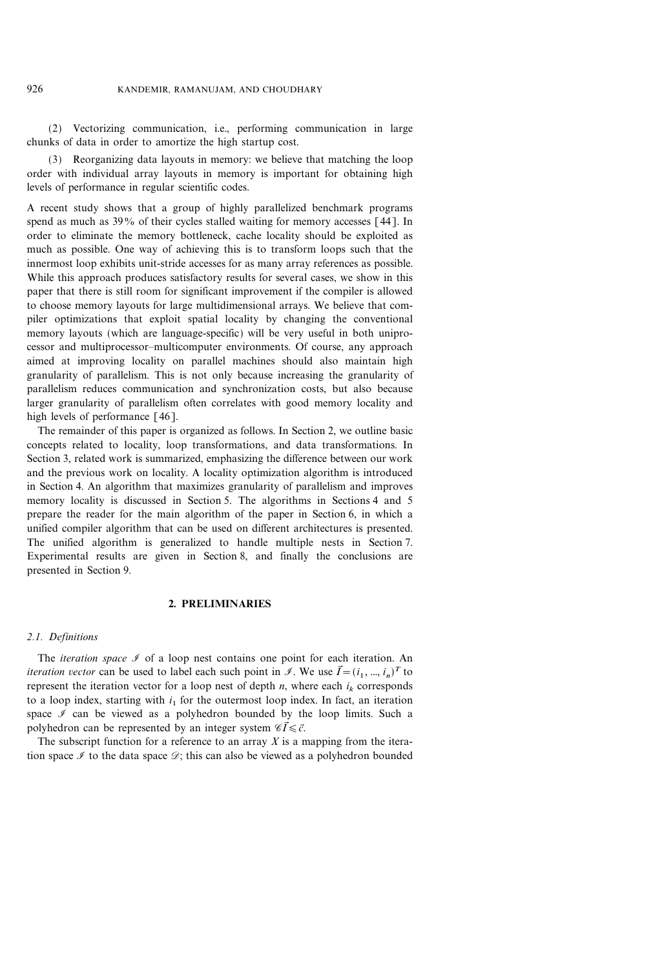(2) Vectorizing communication, i.e., performing communication in large chunks of data in order to amortize the high startup cost.

(3) Reorganizing data layouts in memory: we believe that matching the loop order with individual array layouts in memory is important for obtaining high levels of performance in regular scientific codes.

A recent study shows that a group of highly parallelized benchmark programs spend as much as  $39\%$  of their cycles stalled waiting for memory accesses [44]. In order to eliminate the memory bottleneck, cache locality should be exploited as much as possible. One way of achieving this is to transform loops such that the innermost loop exhibits unit-stride accesses for as many array references as possible. While this approach produces satisfactory results for several cases, we show in this paper that there is still room for significant improvement if the compiler is allowed to choose memory layouts for large multidimensional arrays. We believe that compiler optimizations that exploit spatial locality by changing the conventional memory layouts (which are language-specific) will be very useful in both uniprocessor and multiprocessor-multicomputer environments. Of course, any approach aimed at improving locality on parallel machines should also maintain high granularity of parallelism. This is not only because increasing the granularity of parallelism reduces communication and synchronization costs, but also because larger granularity of parallelism often correlates with good memory locality and high levels of performance  $\lceil 46 \rceil$ .

The remainder of this paper is organized as follows. In Section 2, we outline basic concepts related to locality, loop transformations, and data transformations. In Section 3, related work is summarized, emphasizing the difference between our work and the previous work on locality. A locality optimization algorithm is introduced in Section 4. An algorithm that maximizes granularity of parallelism and improves memory locality is discussed in Section 5. The algorithms in Sections 4 and 5 prepare the reader for the main algorithm of the paper in Section 6, in which a unified compiler algorithm that can be used on different architectures is presented. The unified algorithm is generalized to handle multiple nests in Section 7. Experimental results are given in Section 8, and finally the conclusions are presented in Section 9.

# 2. PRELIMINARIES

# 2.1. Definitions

The *iteration space*  $\mathcal I$  of a loop nest contains one point for each iteration. An *iteration vector* can be used to label each such point in  $\mathcal{I}$ . We use  $\vec{I} = (i_1, ..., i_n)^T$  to represent the iteration vector for a loop nest of depth n, where each  $i_k$  corresponds to a loop index, starting with  $i_1$  for the outermost loop index. In fact, an iteration space  $\mathcal I$  can be viewed as a polyhedron bounded by the loop limits. Such a polyhedron can be represented by an integer system  $\mathscr{C}I \leq \vec{c}$ .

The subscript function for a reference to an array  $X$  is a mapping from the iteration space  $\mathcal I$  to the data space  $\mathcal D$ ; this can also be viewed as a polyhedron bounded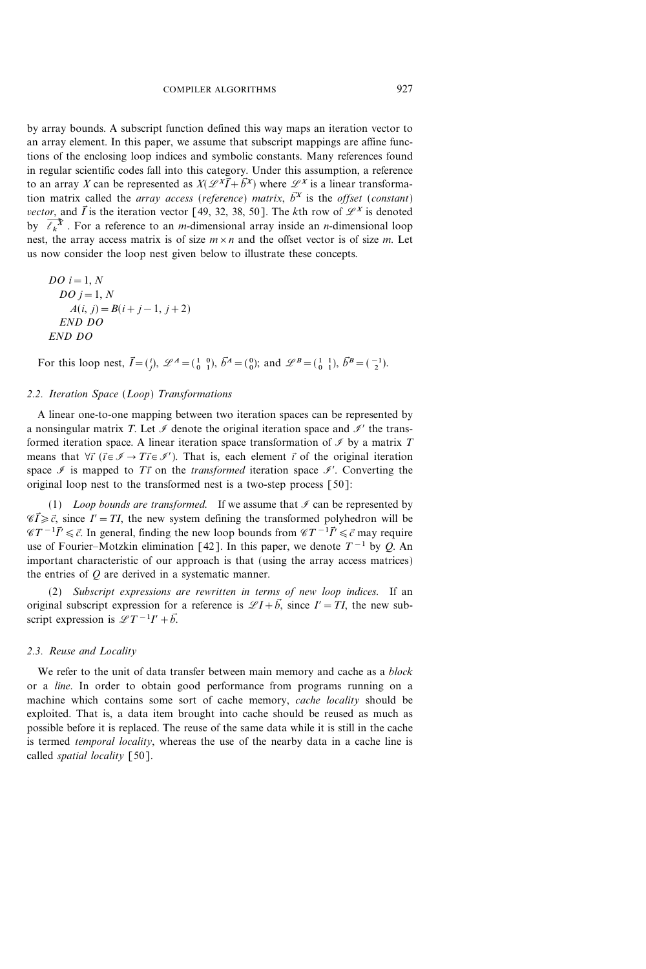by array bounds. A subscript function defined this way maps an iteration vector to an array element. In this paper, we assume that subscript mappings are affine functions of the enclosing loop indices and symbolic constants. Many references found in regular scientific codes fall into this category. Under this assumption, a reference to an array X can be represented as  $X(\mathscr{L}^{X}\vec{I}+\vec{b}^{X})$  where  $\mathscr{L}^{X}$  is a linear transformation matrix called the *array access (reference) matrix*,  $\vec{b}^X$  is the *offset (constant)* vector, and  $\vec{l}$  is the iteration vector [49, 32, 38, 50]. The kth row of  $\mathcal{L}^X$  is denoted<br>by  $\ell_k^{\bar{X}}$ . For a reference to an *m*-dimensional array inside an *n*-dimensional loop by  $\ell_k^{\bar{X}}$ . For a reference to an *m*-dimensional array inside an *n*-dimensional loop nest, the array access matrix is of size  $m \times n$  and the offset vector is of size m. Let us now consider the loop nest given below to illustrate these concepts.

$$
DO i = 1, N\n
$$
DO j = 1, N\nA(i, j) = B(i + j - 1, j + 2)\nEND DO\nEND DO
$$
$$

For this loop nest,  $\vec{I} = \begin{pmatrix} i \\ j \end{pmatrix}$ ,  $\mathcal{L}^A = \begin{pmatrix} 1 & 0 \\ 0 & 1 \end{pmatrix}$ ,  $\vec{b}^A = \begin{pmatrix} 0 \\ 0 \end{pmatrix}$ ; and  $\mathcal{L}^B = \begin{pmatrix} 1 & 1 \\ 0 & 1 \end{pmatrix}$ ,  $\vec{b}^B = \begin{pmatrix} -1 \\ 2 \end{pmatrix}$ .

# 2.2. Iteration Space (Loop) Transformations

A linear one-to-one mapping between two iteration spaces can be represented by a nonsingular matrix T. Let  $\mathcal I$  denote the original iteration space and  $\mathcal I'$  the transformed iteration space. A linear iteration space transformation of  $\mathcal I$  by a matrix T means that  $\forall \vec{i}$  ( $\vec{i} \in \mathcal{I} \rightarrow T \vec{i} \in \mathcal{I}'$ ). That is, each element  $\vec{i}$  of the original iteration space  $\mathscr I$  is mapped to  $T\vec{\imath}$  on the *transformed* iteration space  $\mathscr I'$ . Converting the original loop nest to the transformed nest is a two-step process [50]:

(1) Loop bounds are transformed. If we assume that  $\mathcal I$  can be represented by  $\langle \vec{\ell} \cdot \vec{\ell} \rangle$ , since  $I' = TI$ , the new system defining the transformed polyhedron will be  $\mathscr{C}T^{-1}\vec{I}' \leq \vec{c}$ . In general, finding the new loop bounds from  $\mathscr{C}T^{-1}\vec{I}' \leq \vec{c}$  may require use of Fourier–Motzkin elimination [42]. In this paper, we denote  $T^{-1}$  by Q. An important characteristic of our approach is that (using the array access matrices) the entries of  $Q$  are derived in a systematic manner.

(2) Subscript expressions are rewritten in terms of new loop indices. If an original subscript expression for a reference is  $\mathscr{L}I+\vec{b}$ , since  $I'=TI$ , the new subscript expression is  $\mathscr{L}T^{-1}I' + \vec{b}$ .

# 2.3. Reuse and Locality

We refer to the unit of data transfer between main memory and cache as a *block* or a line. In order to obtain good performance from programs running on a machine which contains some sort of cache memory, cache locality should be exploited. That is, a data item brought into cache should be reused as much as possible before it is replaced. The reuse of the same data while it is still in the cache is termed *temporal locality*, whereas the use of the nearby data in a cache line is called *spatial locality* [50].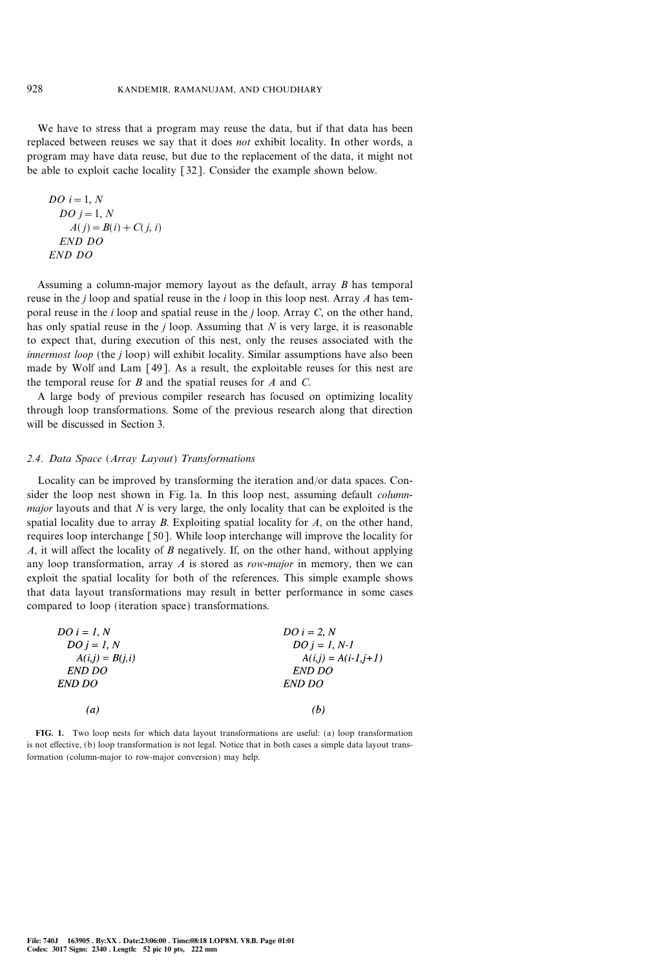We have to stress that a program may reuse the data, but if that data has been replaced between reuses we say that it does not exhibit locality. In other words, a program may have data reuse, but due to the replacement of the data, it might not be able to exploit cache locality [32]. Consider the example shown below.

$$
DO i = 1, N
$$
  
\n
$$
DO j = 1, N
$$
  
\n
$$
A(j) = B(i) + C(j, i)
$$
  
\nEND DO  
\nEND DO

Assuming a column-major memory layout as the default, array B has temporal reuse in the *j* loop and spatial reuse in the *i* loop in this loop nest. Array A has temporal reuse in the  $i$  loop and spatial reuse in the  $j$  loop. Array  $C$ , on the other hand, has only spatial reuse in the  $j$  loop. Assuming that  $N$  is very large, it is reasonable to expect that, during execution of this nest, only the reuses associated with the *innermost loop* (the *j* loop) will exhibit locality. Similar assumptions have also been made by Wolf and Lam [49]. As a result, the exploitable reuses for this nest are the temporal reuse for  $B$  and the spatial reuses for  $A$  and  $C$ .

A large body of previous compiler research has focused on optimizing locality through loop transformations. Some of the previous research along that direction will be discussed in Section 3.

# 2.4. Data Space (Array Layout) Transformations

Locality can be improved by transforming the iteration and/or data spaces. Consider the loop nest shown in Fig. 1a. In this loop nest, assuming default *columnmajor* layouts and that  $N$  is very large, the only locality that can be exploited is the spatial locality due to array  $B$ . Exploiting spatial locality for  $A$ , on the other hand, requires loop interchange [50]. While loop interchange will improve the locality for A, it will affect the locality of B negatively. If, on the other hand, without applying any loop transformation, array  $\vec{A}$  is stored as *row-major* in memory, then we can exploit the spatial locality for both of the references. This simple example shows that data layout transformations may result in better performance in some cases compared to loop (iteration space) transformations.

| DO i = 1. N       | $DO$ i = 2, N         |
|-------------------|-----------------------|
| $DO j = 1, N$     | $DO j = 1, N-1$       |
| $A(i,j) = B(j,i)$ | $A(i,j) = A(i-1,j+1)$ |
| <i>END DO</i>     | <i>END DO</i>         |
| END DO            | <i>END DO</i>         |
|                   |                       |
| (a)               | (b)                   |
|                   |                       |

FIG. 1. Two loop nests for which data layout transformations are useful: (a) loop transformation is not effective, (b) loop transformation is not legal. Notice that in both cases a simple data layout transformation (column-major to row-major conversion) may help.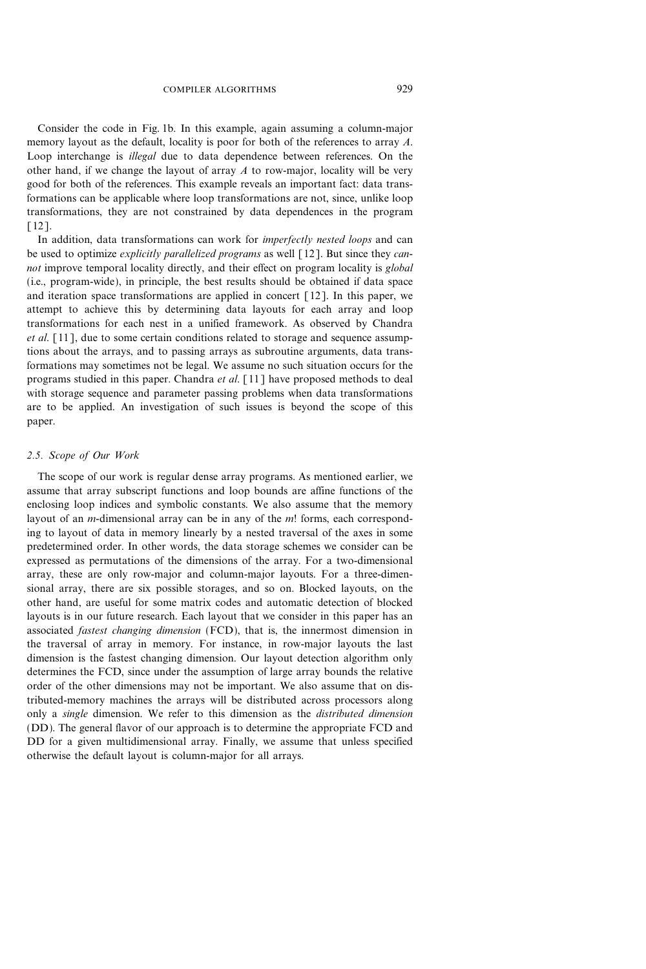Consider the code in Fig. 1b. In this example, again assuming a column-major memory layout as the default, locality is poor for both of the references to array A. Loop interchange is *illegal* due to data dependence between references. On the other hand, if we change the layout of array  $\Lambda$  to row-major, locality will be very good for both of the references. This example reveals an important fact: data transformations can be applicable where loop transformations are not, since, unlike loop transformations, they are not constrained by data dependences in the program [12].

In addition, data transformations can work for *imperfectly nested loops* and can be used to optimize *explicitly parallelized programs* as well  $\lceil 12 \rceil$ . But since they *can*not improve temporal locality directly, and their effect on program locality is *global* (i.e., program-wide), in principle, the best results should be obtained if data space and iteration space transformations are applied in concert [12]. In this paper, we attempt to achieve this by determining data layouts for each array and loop transformations for each nest in a unified framework. As observed by Chandra et al. [11], due to some certain conditions related to storage and sequence assumptions about the arrays, and to passing arrays as subroutine arguments, data transformations may sometimes not be legal. We assume no such situation occurs for the programs studied in this paper. Chandra et al. [11] have proposed methods to deal with storage sequence and parameter passing problems when data transformations are to be applied. An investigation of such issues is beyond the scope of this paper.

# 2.5. Scope of Our Work

The scope of our work is regular dense array programs. As mentioned earlier, we assume that array subscript functions and loop bounds are affine functions of the enclosing loop indices and symbolic constants. We also assume that the memory layout of an *m*-dimensional array can be in any of the  $m!$  forms, each corresponding to layout of data in memory linearly by a nested traversal of the axes in some predetermined order. In other words, the data storage schemes we consider can be expressed as permutations of the dimensions of the array. For a two-dimensional array, these are only row-major and column-major layouts. For a three-dimensional array, there are six possible storages, and so on. Blocked layouts, on the other hand, are useful for some matrix codes and automatic detection of blocked layouts is in our future research. Each layout that we consider in this paper has an associated *fastest changing dimension* (FCD), that is, the innermost dimension in the traversal of array in memory. For instance, in row-major layouts the last dimension is the fastest changing dimension. Our layout detection algorithm only determines the FCD, since under the assumption of large array bounds the relative order of the other dimensions may not be important. We also assume that on distributed-memory machines the arrays will be distributed across processors along only a single dimension. We refer to this dimension as the *distributed dimension* (DD). The general flavor of our approach is to determine the appropriate FCD and DD for a given multidimensional array. Finally, we assume that unless specified otherwise the default layout is column-major for all arrays.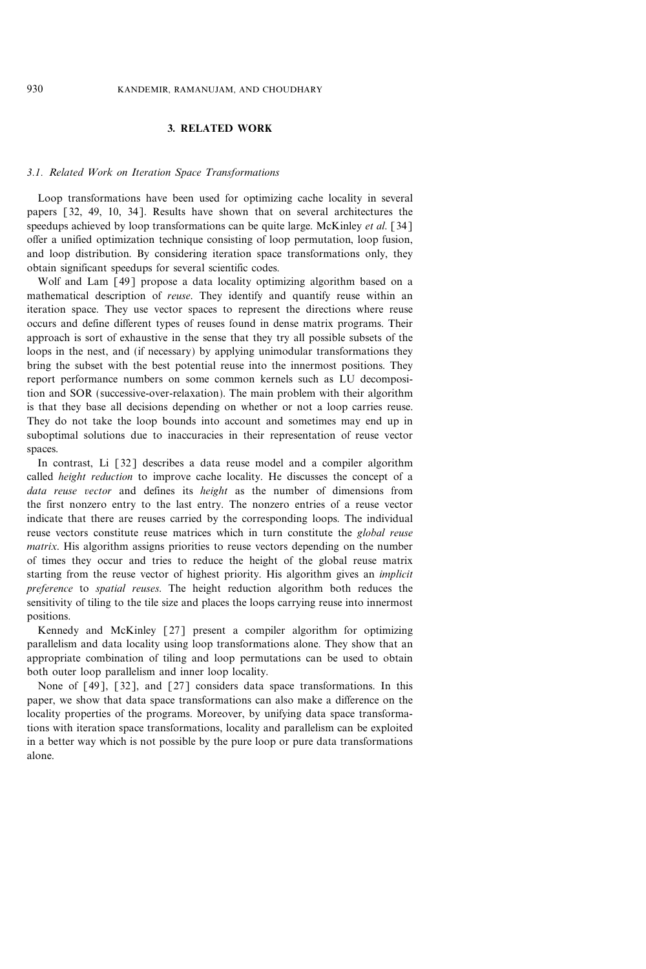# 3. RELATED WORK

## 3.1. Related Work on Iteration Space Transformations

Loop transformations have been used for optimizing cache locality in several papers [32, 49, 10, 34]. Results have shown that on several architectures the speedups achieved by loop transformations can be quite large. McKinley et al. [34] offer a unified optimization technique consisting of loop permutation, loop fusion, and loop distribution. By considering iteration space transformations only, they obtain significant speedups for several scientific codes.

Wolf and Lam [49] propose a data locality optimizing algorithm based on a mathematical description of *reuse*. They identify and quantify reuse within an iteration space. They use vector spaces to represent the directions where reuse occurs and define different types of reuses found in dense matrix programs. Their approach is sort of exhaustive in the sense that they try all possible subsets of the loops in the nest, and (if necessary) by applying unimodular transformations they bring the subset with the best potential reuse into the innermost positions. They report performance numbers on some common kernels such as LU decomposition and SOR (successive-over-relaxation). The main problem with their algorithm is that they base all decisions depending on whether or not a loop carries reuse. They do not take the loop bounds into account and sometimes may end up in suboptimal solutions due to inaccuracies in their representation of reuse vector spaces.

In contrast, Li [32] describes a data reuse model and a compiler algorithm called height reduction to improve cache locality. He discusses the concept of a data reuse vector and defines its height as the number of dimensions from the first nonzero entry to the last entry. The nonzero entries of a reuse vector indicate that there are reuses carried by the corresponding loops. The individual reuse vectors constitute reuse matrices which in turn constitute the *global reuse* matrix. His algorithm assigns priorities to reuse vectors depending on the number of times they occur and tries to reduce the height of the global reuse matrix starting from the reuse vector of highest priority. His algorithm gives an *implicit* preference to spatial reuses. The height reduction algorithm both reduces the sensitivity of tiling to the tile size and places the loops carrying reuse into innermost positions.

Kennedy and McKinley [27] present a compiler algorithm for optimizing parallelism and data locality using loop transformations alone. They show that an appropriate combination of tiling and loop permutations can be used to obtain both outer loop parallelism and inner loop locality.

None of [49], [32], and [27] considers data space transformations. In this paper, we show that data space transformations can also make a difference on the locality properties of the programs. Moreover, by unifying data space transformations with iteration space transformations, locality and parallelism can be exploited in a better way which is not possible by the pure loop or pure data transformations alone.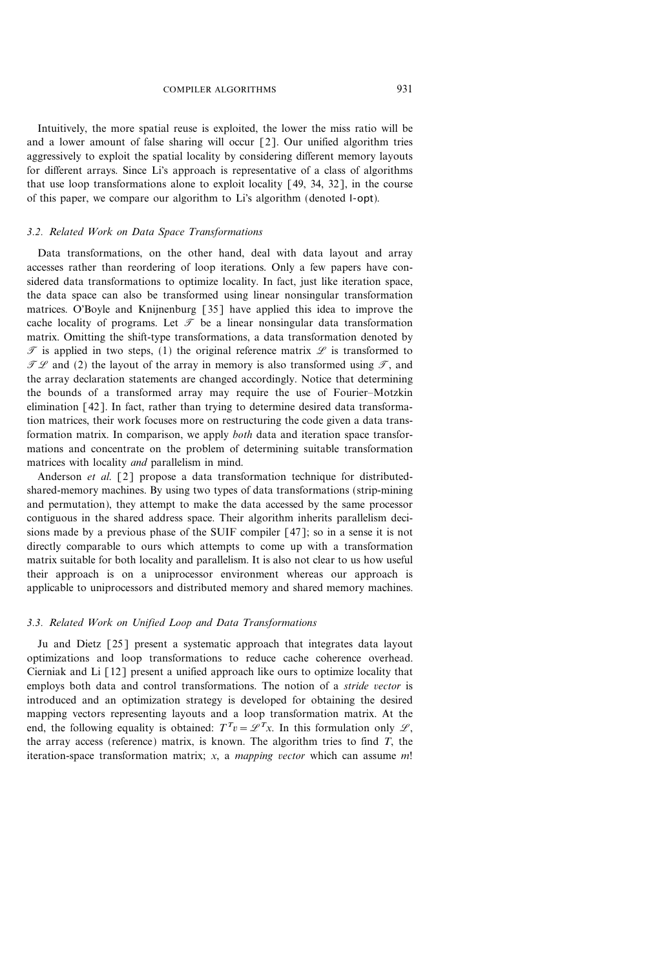Intuitively, the more spatial reuse is exploited, the lower the miss ratio will be and a lower amount of false sharing will occur [2]. Our unified algorithm tries aggressively to exploit the spatial locality by considering different memory layouts for different arrays. Since Li's approach is representative of a class of algorithms that use loop transformations alone to exploit locality  $[49, 34, 32]$ , in the course of this paper, we compare our algorithm to Li's algorithm (denoted l-opt).

# 3.2. Related Work on Data Space Transformations

Data transformations, on the other hand, deal with data layout and array accesses rather than reordering of loop iterations. Only a few papers have considered data transformations to optimize locality. In fact, just like iteration space, the data space can also be transformed using linear nonsingular transformation matrices. O'Boyle and Knijnenburg [35] have applied this idea to improve the cache locality of programs. Let  $\mathcal T$  be a linear nonsingular data transformation matrix. Omitting the shift-type transformations, a data transformation denoted by  $\mathscr T$  is applied in two steps, (1) the original reference matrix  $\mathscr L$  is transformed to  $\mathcal{TL}$  and (2) the layout of the array in memory is also transformed using  $\mathcal{T}$ , and the array declaration statements are changed accordingly. Notice that determining the bounds of a transformed array may require the use of Fourier-Motzkin elimination [42]. In fact, rather than trying to determine desired data transformation matrices, their work focuses more on restructuring the code given a data transformation matrix. In comparison, we apply both data and iteration space transformations and concentrate on the problem of determining suitable transformation matrices with locality *and* parallelism in mind.

Anderson et al. [2] propose a data transformation technique for distributedshared-memory machines. By using two types of data transformations (strip-mining and permutation), they attempt to make the data accessed by the same processor contiguous in the shared address space. Their algorithm inherits parallelism decisions made by a previous phase of the SUIF compiler [47]; so in a sense it is not directly comparable to ours which attempts to come up with a transformation matrix suitable for both locality and parallelism. It is also not clear to us how useful their approach is on a uniprocessor environment whereas our approach is applicable to uniprocessors and distributed memory and shared memory machines.

# 3.3. Related Work on Unified Loop and Data Transformations

Ju and Dietz [25] present a systematic approach that integrates data layout optimizations and loop transformations to reduce cache coherence overhead. Cierniak and Li [12] present a unified approach like ours to optimize locality that employs both data and control transformations. The notion of a *stride vector* is introduced and an optimization strategy is developed for obtaining the desired mapping vectors representing layouts and a loop transformation matrix. At the end, the following equality is obtained:  $T^T v = \mathcal{L}^T x$ . In this formulation only  $\mathcal{L}$ , the array access (reference) matrix, is known. The algorithm tries to find  $T$ , the iteration-space transformation matrix;  $x$ , a *mapping vector* which can assume  $m!$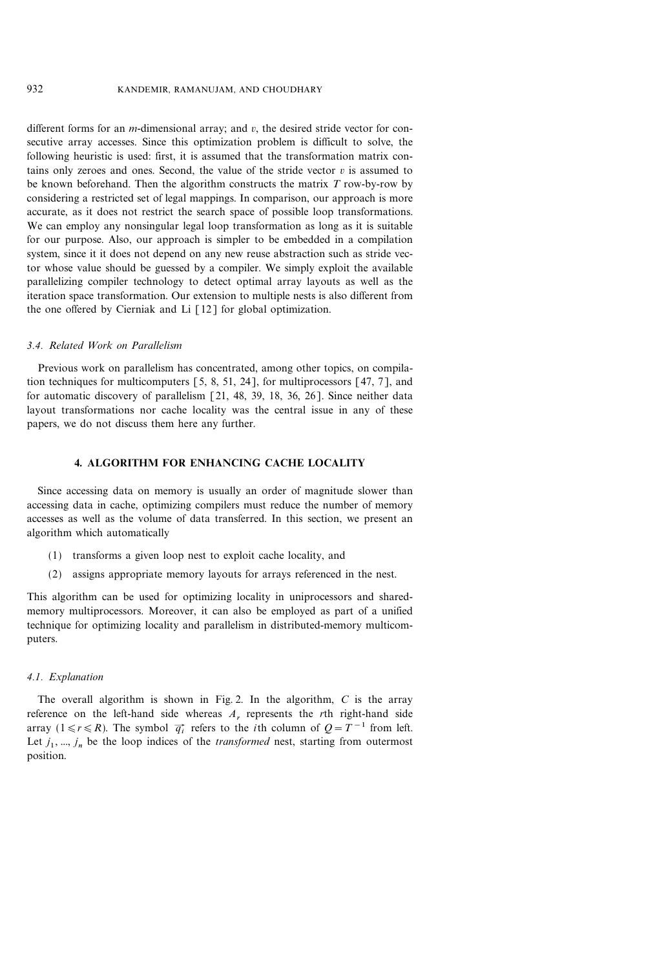different forms for an *m*-dimensional array; and  $v$ , the desired stride vector for consecutive array accesses. Since this optimization problem is difficult to solve, the following heuristic is used: first, it is assumed that the transformation matrix contains only zeroes and ones. Second, the value of the stride vector  $v$  is assumed to be known beforehand. Then the algorithm constructs the matrix  $T$  row-by-row by considering a restricted set of legal mappings. In comparison, our approach is more accurate, as it does not restrict the search space of possible loop transformations. We can employ any nonsingular legal loop transformation as long as it is suitable for our purpose. Also, our approach is simpler to be embedded in a compilation system, since it it does not depend on any new reuse abstraction such as stride vector whose value should be guessed by a compiler. We simply exploit the available parallelizing compiler technology to detect optimal array layouts as well as the iteration space transformation. Our extension to multiple nests is also different from the one offered by Cierniak and Li  $\lceil 12 \rceil$  for global optimization.

# 3.4. Related Work on Parallelism

Previous work on parallelism has concentrated, among other topics, on compilation techniques for multicomputers  $[5, 8, 51, 24]$ , for multiprocessors  $[47, 7]$ , and for automatic discovery of parallelism [21, 48, 39, 18, 36, 26]. Since neither data layout transformations nor cache locality was the central issue in any of these papers, we do not discuss them here any further.

# 4. ALGORITHM FOR ENHANCING CACHE LOCALITY

Since accessing data on memory is usually an order of magnitude slower than accessing data in cache, optimizing compilers must reduce the number of memory accesses as well as the volume of data transferred. In this section, we present an algorithm which automatically

- (1) transforms a given loop nest to exploit cache locality, and
- (2) assigns appropriate memory layouts for arrays referenced in the nest.

This algorithm can be used for optimizing locality in uniprocessors and sharedmemory multiprocessors. Moreover, it can also be employed as part of a unified technique for optimizing locality and parallelism in distributed-memory multicomputers.

# 4.1. Explanation

The overall algorithm is shown in Fig. 2. In the algorithm,  $C$  is the array reference on the left-hand side whereas  $A<sub>r</sub>$  represents the rth right-hand side array  $(1 \le r \le R)$ . The symbol  $\overrightarrow{q_i}$  refers to the *i*th column of  $Q=T^{-1}$  from left. Let  $j_1$ , ...,  $j_n$  be the loop indices of the *transformed* nest, starting from outermost position.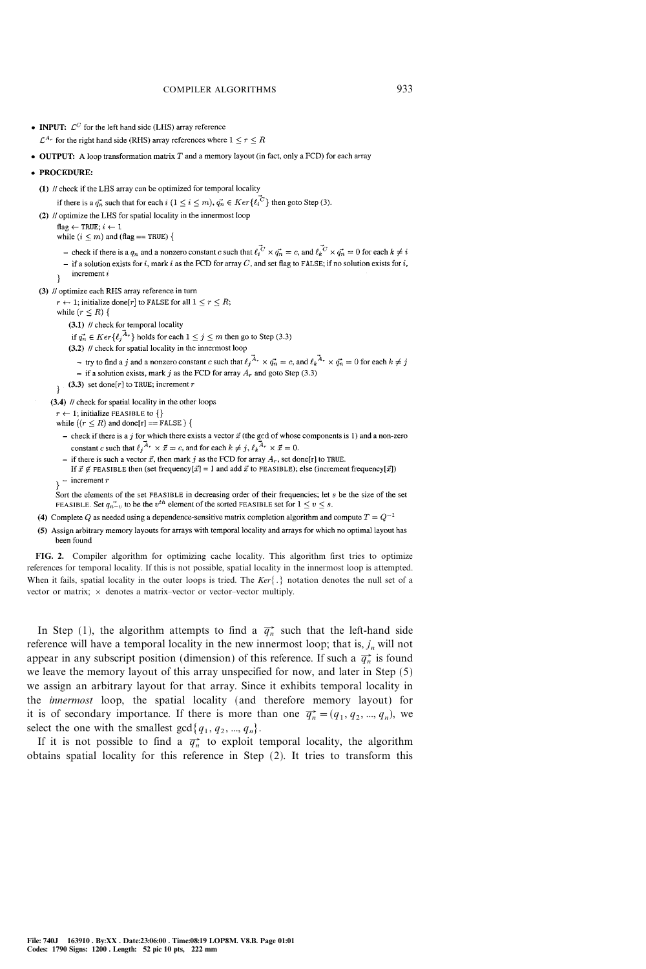$\mathcal{L}^{A_r}$  for the right hand side (RHS) array references where  $1 \leq r \leq R$ 

• OUTPUT: A loop transformation matrix  $T$  and a memory layout (in fact, only a FCD) for each array

#### · PROCEDURE:

(1) // check if the LHS array can be optimized for temporal locality

if there is a  $q_n^2$  such that for each  $i$   $(1 \le i \le m)$ ,  $q_n^2 \in Ker\{\ell_i^C\}$  then goto Step (3).

(2) // optimize the LHS for spatial locality in the innermost loop

flag  $\leftarrow$  TRUE;  $i \leftarrow 1$ while  $(i \leq m)$  and (flag == TRUE) {

- check if there is a  $q_n$  and a nonzero constant c such that  $\ell_i^C \times \vec{q_n} = c$ , and  $\ell_k^C \times \vec{q_n} = 0$  for each  $k \neq i$
- if a solution exists for i, mark i as the FCD for array  $C$ , and set flag to FALSE; if no solution exists for i,
- increment i  $\mathcal{E}$
- (3) // optimize each RHS array reference in turn

 $r \leftarrow 1$ ; initialize done[r] to FALSE for all  $1 \le r \le R$ ; while  $(r \leq R)$  {

(3.1) // check for temporal locality

if  $\vec{q}_n \in \text{Ker}\{\ell_j^{\mathcal{A}_r}\}\$  holds for each  $1 \leq j \leq m$  then go to Step (3.3)

- (3.2) // check for spatial locality in the innermost loop
	- try to find a j and a nonzero constant c such that  $\ell_j^{\bar{A}_r} \times \vec{q}_n = c$ , and  $\ell_k^{\bar{A}_r} \times \vec{q}_n = 0$  for each  $k \neq j$
	- if a solution exists, mark j as the FCD for array  $A_r$  and goto Step (3.3)
- $\{3.3\}$  set done[r] to TRUE; increment r

(3.4) // check for spatial locality in the other loops

 $r \leftarrow 1$ ; initialize FEASIBLE to  $\{\}$ 

- while  $((r \leq R)$  and done[r] == FALSE ) {
	- check if there is a j for which there exists a vector  $\vec{x}$  (the gcd of whose components is 1) and a non-zero constant c such that  $\ell_j^{\bar{A}_r} \times \vec{x} = c$ , and for each  $k \neq j$ ,  $\ell_k^{\bar{A}_r} \times \vec{x} = 0$ .
	- if there is such a vector  $\vec{x}$ , then mark j as the FCD for array  $A_r$ , set done[r] to TRUE.
- If  $\vec{x} \notin$  FEASIBLE then (set frequency[ $\vec{x}$ ] = 1 and add  $\vec{x}$  to FEASIBLE); else (increment frequency[ $\vec{x}$ ])  $\frac{1}{2}$  – increment r

Sort the elements of the set FEASIBLE in decreasing order of their frequencies; let s be the size of the set FEASIBLE. Set  $q_{n-v}$  to be the  $v^{th}$  element of the sorted FEASIBLE set for  $1 \le v \le s$ .

- (4) Complete Q as needed using a dependence-sensitive matrix completion algorithm and compute  $T = Q^{-1}$
- (5) Assign arbitrary memory layouts for arrays with temporal locality and arrays for which no optimal layout has been found

FIG. 2. Compiler algorithm for optimizing cache locality. This algorithm first tries to optimize references for temporal locality. If this is not possible, spatial locality in the innermost loop is attempted. When it fails, spatial locality in the outer loops is tried. The Ker{  $\cdot$  } notation denotes the null set of a vector or matrix;  $\times$  denotes a matrix-vector or vector-vector multiply.

In Step (1), the algorithm attempts to find a  $\overrightarrow{q_n}$  such that the left-hand side reference will have a temporal locality in the new innermost loop; that is,  $j_n$  will not appear in any subscript position (dimension) of this reference. If such a  $\overline{q}_n^*$  is found we leave the memory layout of this array unspecified for now, and later in Step (5) we assign an arbitrary layout for that array. Since it exhibits temporal locality in the *innermost* loop, the spatial locality (and therefore memory layout) for it is of secondary importance. If there is more than one  $\overline{q}_n^* = (q_1, q_2, ..., q_n)$ , we select the one with the smallest  $gcd\{q_1, q_2, ..., q_n\}$ .

If it is not possible to find a  $\overrightarrow{q_n}$  to exploit temporal locality, the algorithm obtains spatial locality for this reference in Step (2). It tries to transform this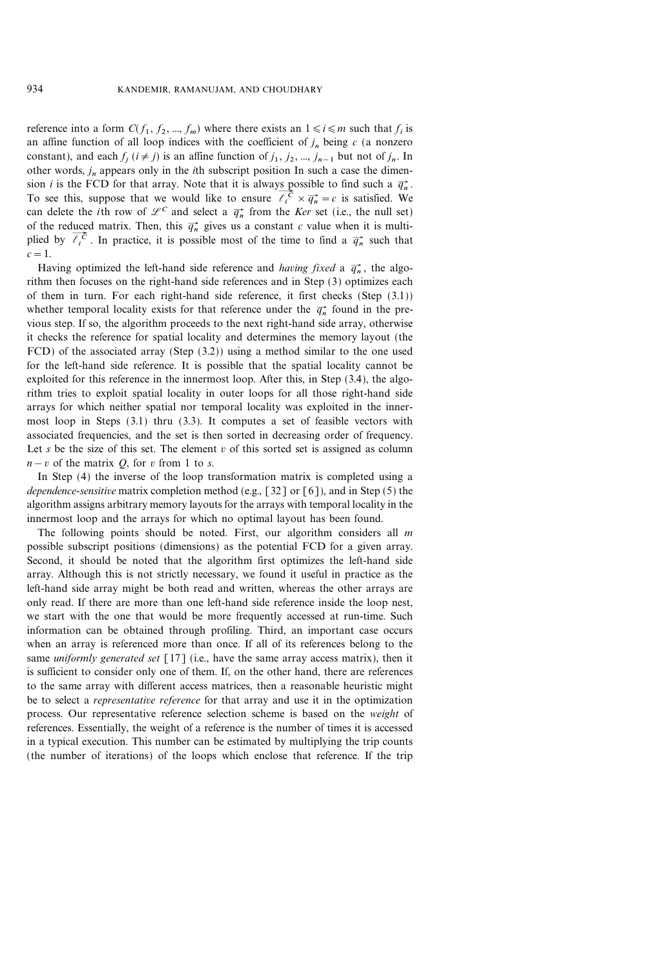reference into a form  $C(f_1, f_2, ..., f_m)$  where there exists an  $1 \le i \le m$  such that  $f_i$  is an affine function of all loop indices with the coefficient of  $j_n$  being c (a nonzero constant), and each  $f_i$  ( $i \neq j$ ) is an affine function of  $j_1, j_2, ..., j_{n-1}$  but not of  $j_n$ . In other words,  $j_n$  appears only in the *i*th subscript position In such a case the dimension *i* is the FCD for that array. Note that it is always possible to find such a  $\overline{q}_n^*$ . Som *i* is the FCD for that array. Note that it is always possible to find such a  $\overline{q_n}$ .<br>To see this, suppose that we would like to ensure  $\overline{\ell_1} \overline{\zeta} \times \overline{q_n} = c$  is satisfied. We can delete the *i*th row of  $\mathcal{L}^C$  and select a  $\overrightarrow{q_n}$  from the Ker set (i.e., the null set) of the reduced matrix. Then, this  $\overrightarrow{q_n}$  gives us a constant c value when it is multiof the reduced matrix. Then, this  $\overrightarrow{q_n}$  gives us a constant c value when it is multiplied by  $\overrightarrow{\ell_i}^c$ . In practice, it is possible most of the time to find a  $\overrightarrow{q_n}$  such that  $c=1$ .

Having optimized the left-hand side reference and *having fixed* a  $\overrightarrow{q_n}$ , the algorithm then focuses on the right-hand side references and in Step (3) optimizes each of them in turn. For each right-hand side reference, it first checks (Step (3.1)) whether temporal locality exists for that reference under the  $\overline{q}_n^*$  found in the previous step. If so, the algorithm proceeds to the next right-hand side array, otherwise it checks the reference for spatial locality and determines the memory layout (the FCD) of the associated array (Step (3.2)) using a method similar to the one used for the left-hand side reference. It is possible that the spatial locality cannot be exploited for this reference in the innermost loop. After this, in Step (3.4), the algorithm tries to exploit spatial locality in outer loops for all those right-hand side arrays for which neither spatial nor temporal locality was exploited in the innermost loop in Steps (3.1) thru (3.3). It computes a set of feasible vectors with associated frequencies, and the set is then sorted in decreasing order of frequency. Let s be the size of this set. The element  $v$  of this sorted set is assigned as column  $n-v$  of the matrix Q, for v from 1 to s.

In Step (4) the inverse of the loop transformation matrix is completed using a dependence-sensitive matrix completion method (e.g.,  $\lceil 32 \rceil$  or  $\lceil 6 \rceil$ ), and in Step (5) the algorithm assigns arbitrary memory layouts for the arrays with temporal locality in the innermost loop and the arrays for which no optimal layout has been found.

The following points should be noted. First, our algorithm considers all  $m$ possible subscript positions (dimensions) as the potential FCD for a given array. Second, it should be noted that the algorithm first optimizes the left-hand side array. Although this is not strictly necessary, we found it useful in practice as the left-hand side array might be both read and written, whereas the other arrays are only read. If there are more than one left-hand side reference inside the loop nest, we start with the one that would be more frequently accessed at run-time. Such information can be obtained through profiling. Third, an important case occurs when an array is referenced more than once. If all of its references belong to the same *uniformly generated set*  $[17]$  (i.e., have the same array access matrix), then it is sufficient to consider only one of them. If, on the other hand, there are references to the same array with different access matrices, then a reasonable heuristic might be to select a *representative reference* for that array and use it in the optimization process. Our representative reference selection scheme is based on the weight of references. Essentially, the weight of a reference is the number of times it is accessed in a typical execution. This number can be estimated by multiplying the trip counts (the number of iterations) of the loops which enclose that reference. If the trip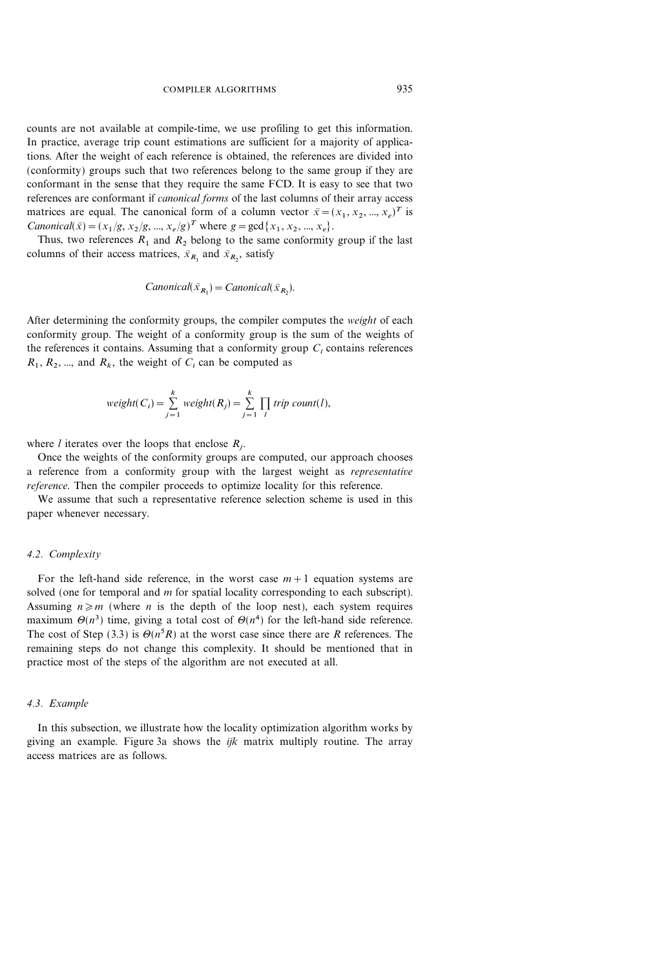counts are not available at compile-time, we use profiling to get this information. In practice, average trip count estimations are sufficient for a majority of applications. After the weight of each reference is obtained, the references are divided into (conformity) groups such that two references belong to the same group if they are conformant in the sense that they require the same FCD. It is easy to see that two references are conformant if *canonical forms* of the last columns of their array access matrices are equal. The canonical form of a column vector  $\bar{x} = (x_1, x_2, ..., x_e)^T$  is *Canonical*( $\bar{x}$ ) = ( $x_1/g, x_2/g, ..., x_e/g$ )<sup>T</sup> where  $g = \gcd\{x_1, x_2, ..., x_e\}$ .

Thus, two references  $R_1$  and  $R_2$  belong to the same conformity group if the last columns of their access matrices,  $\bar{x}_{R_1}$  and  $\bar{x}_{R_2}$ , satisfy

$$
Canonical(\bar{x}_{R_1}) = Canonical(\bar{x}_{R_2}).
$$

After determining the conformity groups, the compiler computes the *weight* of each conformity group. The weight of a conformity group is the sum of the weights of the references it contains. Assuming that a conformity group  $C_i$  contains references  $R_1, R_2, \ldots$ , and  $R_k$ , the weight of  $C_i$  can be computed as

$$
weight(C_i) = \sum_{j=1}^{k} weight(R_j) = \sum_{j=1}^{k} \prod_{l} trip\ count(l),
$$

where *l* iterates over the loops that enclose  $R_i$ .

Once the weights of the conformity groups are computed, our approach chooses a reference from a conformity group with the largest weight as *representative* reference. Then the compiler proceeds to optimize locality for this reference.

We assume that such a representative reference selection scheme is used in this paper whenever necessary.

# 4.2. Complexity

For the left-hand side reference, in the worst case  $m+1$  equation systems are solved (one for temporal and  $m$  for spatial locality corresponding to each subscript). Assuming  $n \ge m$  (where *n* is the depth of the loop nest), each system requires maximum  $\Theta(n^3)$  time, giving a total cost of  $\Theta(n^4)$  for the left-hand side reference. The cost of Step (3.3) is  $\Theta(n^5R)$  at the worst case since there are R references. The remaining steps do not change this complexity. It should be mentioned that in practice most of the steps of the algorithm are not executed at all.

## 4.3. Example

In this subsection, we illustrate how the locality optimization algorithm works by giving an example. Figure 3a shows the  $ijk$  matrix multiply routine. The array access matrices are as follows.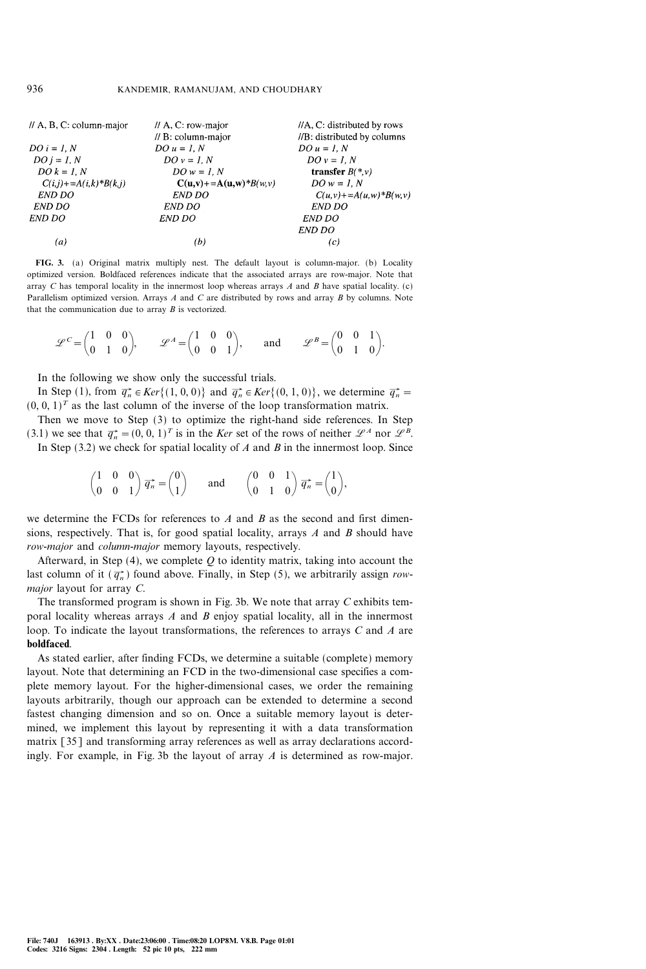| $// A, C: row-major$          | $\mathsf{M}\mathsf{A}\mathsf{C}\mathsf{.}$ distributed by rows |
|-------------------------------|----------------------------------------------------------------|
| $\mathcal{U}$ B: column-major | //B: distributed by columns                                    |
| $DO u = I, N$                 | $DO u = I, N$                                                  |
| $DOv = 1. N$                  | $DOv = 1. N$                                                   |
| $DO w = I, N$                 | transfer $B(*,v)$                                              |
| $C(u,v)$ += $A(u,w)*B(w,v)$   | $DO w = 1, N$                                                  |
| <b>END DO</b>                 | $C(u, v)$ +=A(u,w)*B(w,v)                                      |
| <b>END DO</b>                 | END DO                                                         |
| <b>END DO</b>                 | <i>END DO</i>                                                  |
|                               | <b>END DO</b>                                                  |
| (b)                           | (c)                                                            |
|                               |                                                                |

FIG. 3. (a) Original matrix multiply nest. The default layout is column-major. (b) Locality optimized version. Boldfaced references indicate that the associated arrays are row-major. Note that array  $C$  has temporal locality in the innermost loop whereas arrays  $A$  and  $B$  have spatial locality. (c) Parallelism optimized version. Arrays  $A$  and  $C$  are distributed by rows and array  $B$  by columns. Note that the communication due to array  $B$  is vectorized.

$$
\mathcal{L}^C = \begin{pmatrix} 1 & 0 & 0 \\ 0 & 1 & 0 \end{pmatrix}, \qquad \mathcal{L}^A = \begin{pmatrix} 1 & 0 & 0 \\ 0 & 0 & 1 \end{pmatrix}, \qquad \text{and} \qquad \mathcal{L}^B = \begin{pmatrix} 0 & 0 & 1 \\ 0 & 1 & 0 \end{pmatrix}.
$$

In the following we show only the successful trials.

In Step (1), from  $\overline{q}_n^* \in Ker\{(1, 0, 0)\}$  and  $\overline{q}_n^* \in Ker\{(0, 1, 0)\}$ , we determine  $\overline{q}_n^* =$  $(0, 0, 1)^T$  as the last column of the inverse of the loop transformation matrix.

Then we move to Step (3) to optimize the right-hand side references. In Step (3.1) we see that  $\overline{q}_n^* = (0, 0, 1)^T$  is in the Ker set of the rows of neither  $\mathcal{L}^A$  nor  $\mathcal{L}^B$ .

In Step  $(3.2)$  we check for spatial locality of A and B in the innermost loop. Since

$$
\begin{pmatrix} 1 & 0 & 0 \\ 0 & 0 & 1 \end{pmatrix} \overrightarrow{q_n} = \begin{pmatrix} 0 \\ 1 \end{pmatrix} \quad \text{and} \quad \begin{pmatrix} 0 & 0 & 1 \\ 0 & 1 & 0 \end{pmatrix} \overrightarrow{q_n} = \begin{pmatrix} 1 \\ 0 \end{pmatrix},
$$

we determine the FCDs for references to  $A$  and  $B$  as the second and first dimensions, respectively. That is, for good spatial locality, arrays  $A$  and  $B$  should have row-major and column-major memory layouts, respectively.

Afterward, in Step  $(4)$ , we complete Q to identity matrix, taking into account the Afterward, in Step (4), we complete Q to dentity matrix, taking mito account the last column of it  $(\vec{q}_n)$  found above. Finally, in Step (5), we arbitrarily assign *row*major layout for array C.

The transformed program is shown in Fig. 3b. We note that array C exhibits temporal locality whereas arrays  $A$  and  $B$  enjoy spatial locality, all in the innermost loop. To indicate the layout transformations, the references to arrays  $C$  and  $\overline{A}$  are boldfaced.

As stated earlier, after finding FCDs, we determine a suitable (complete) memory layout. Note that determining an FCD in the two-dimensional case specifies a complete memory layout. For the higher-dimensional cases, we order the remaining layouts arbitrarily, though our approach can be extended to determine a second fastest changing dimension and so on. Once a suitable memory layout is determined, we implement this layout by representing it with a data transformation matrix [35] and transforming array references as well as array declarations accordingly. For example, in Fig. 3b the layout of array A is determined as row-major.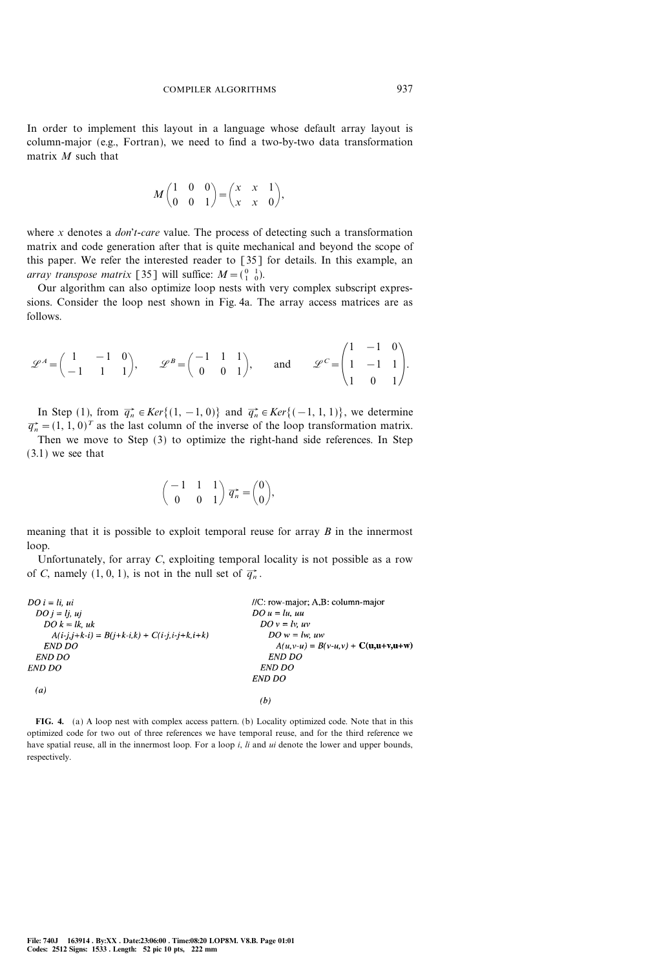In order to implement this layout in a language whose default array layout is column-major (e.g., Fortran), we need to find a two-by-two data transformation matrix  $M$  such that

$$
M\begin{pmatrix} 1 & 0 & 0 \\ 0 & 0 & 1 \end{pmatrix} = \begin{pmatrix} x & x & 1 \\ x & x & 0 \end{pmatrix},
$$

where x denotes a *don't-care* value. The process of detecting such a transformation matrix and code generation after that is quite mechanical and beyond the scope of this paper. We refer the interested reader to  $\lceil 35 \rceil$  for details. In this example, an array transpose matrix [35] will suffice:  $M = \begin{pmatrix} 0 & 1 \\ 1 & 0 \end{pmatrix}$ .

Our algorithm can also optimize loop nests with very complex subscript expressions. Consider the loop nest shown in Fig. 4a. The array access matrices are as follows.

$$
\mathscr{L}^A = \begin{pmatrix} 1 & -1 & 0 \\ -1 & 1 & 1 \end{pmatrix}, \qquad \mathscr{L}^B = \begin{pmatrix} -1 & 1 & 1 \\ 0 & 0 & 1 \end{pmatrix}, \qquad \text{and} \qquad \mathscr{L}^C = \begin{pmatrix} 1 & -1 & 0 \\ 1 & -1 & 1 \\ 1 & 0 & 1 \end{pmatrix}.
$$

In Step (1), from  $\overline{q}_n^* \in \text{Ker}\{(1, -1, 0)\}$  and  $\overline{q}_n^* \in \text{Ker}\{(-1, 1, 1)\}$ , we determine In Step (1), from  $q_n \in \text{Re}\{1, -1, 0\}$  and  $q_n \in \text{Re}\{(-1, 1, 1)\}$ , we determine  $\overline{q}_n^* = (1, 1, 0)^T$  as the last column of the inverse of the loop transformation matrix.

Then we move to Step (3) to optimize the right-hand side references. In Step (3.1) we see that

$$
\begin{pmatrix} -1 & 1 & 1 \ 0 & 0 & 1 \end{pmatrix} \overrightarrow{q_n} = \begin{pmatrix} 0 \\ 0 \end{pmatrix},
$$

meaning that it is possible to exploit temporal reuse for array  $B$  in the innermost loop.

Unfortunately, for array  $C$ , exploiting temporal locality is not possible as a row of C, namely  $(1, 0, 1)$ , is not in the null set of  $\overline{q}_n^*$ .

| $DO i = li, ui$                                    | $/$ / $\degree$ : row-major; A,B: column-major |
|----------------------------------------------------|------------------------------------------------|
| $DO i = li, ui$                                    | $DO u = lu$ . uu                               |
| $DO k = lk$ .                                      | $DOv = lw$ , uv                                |
| $A(i-i, i+k-i) = B(i+k-i, k) + C(i-i, i-i+k, i+k)$ | $DO w = lw$ . uw                               |
| END DO                                             | $A(u, v-u) = B(v-u, v) + C(u, u+v, u+w)$       |
| <b>END DO</b>                                      | <b>END DO</b>                                  |
| END DO                                             | <i>END DO</i>                                  |
|                                                    | <i>END DO</i>                                  |
| (a)                                                |                                                |
|                                                    | (b)                                            |

FIG. 4. (a) A loop nest with complex access pattern. (b) Locality optimized code. Note that in this optimized code for two out of three references we have temporal reuse, and for the third reference we have spatial reuse, all in the innermost loop. For a loop *i, li* and *ui* denote the lower and upper bounds, respectively.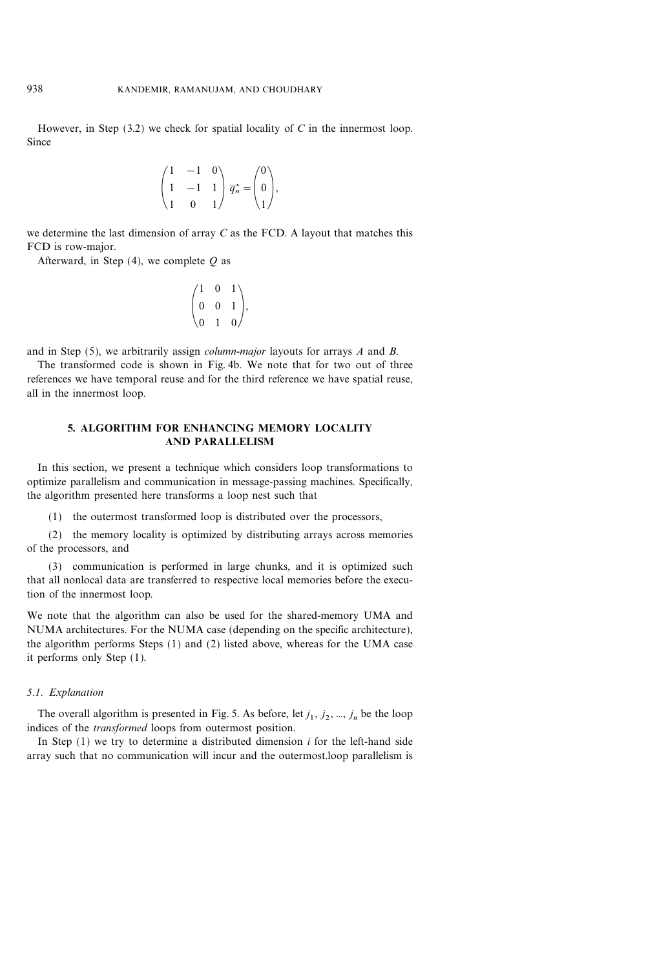However, in Step  $(3.2)$  we check for spatial locality of C in the innermost loop. Since

$$
\begin{pmatrix} 1 & -1 & 0 \\ 1 & -1 & 1 \\ 1 & 0 & 1 \end{pmatrix} \overrightarrow{q_n} = \begin{pmatrix} 0 \\ 0 \\ 1 \end{pmatrix},
$$

we determine the last dimension of array  $C$  as the FCD. A layout that matches this FCD is row-major.

Afterward, in Step  $(4)$ , we complete  $Q$  as

$$
\begin{pmatrix} 1 & 0 & 1 \\ 0 & 0 & 1 \\ 0 & 1 & 0 \end{pmatrix},
$$

and in Step  $(5)$ , we arbitrarily assign *column-major* layouts for arrays A and B.

The transformed code is shown in Fig. 4b. We note that for two out of three references we have temporal reuse and for the third reference we have spatial reuse, all in the innermost loop.

# 5. ALGORITHM FOR ENHANCING MEMORY LOCALITY AND PARALLELISM

In this section, we present a technique which considers loop transformations to optimize parallelism and communication in message-passing machines. Specifically, the algorithm presented here transforms a loop nest such that

(1) the outermost transformed loop is distributed over the processors,

(2) the memory locality is optimized by distributing arrays across memories of the processors, and

(3) communication is performed in large chunks, and it is optimized such that all nonlocal data are transferred to respective local memories before the execution of the innermost loop.

We note that the algorithm can also be used for the shared-memory UMA and NUMA architectures. For the NUMA case (depending on the specific architecture), the algorithm performs Steps (1) and (2) listed above, whereas for the UMA case it performs only Step (1).

## 5.1. Explanation

The overall algorithm is presented in Fig. 5. As before, let  $j_1, j_2, ..., j_n$  be the loop indices of the *transformed* loops from outermost position.

In Step  $(1)$  we try to determine a distributed dimension *i* for the left-hand side array such that no communication will incur and the outermost.loop parallelism is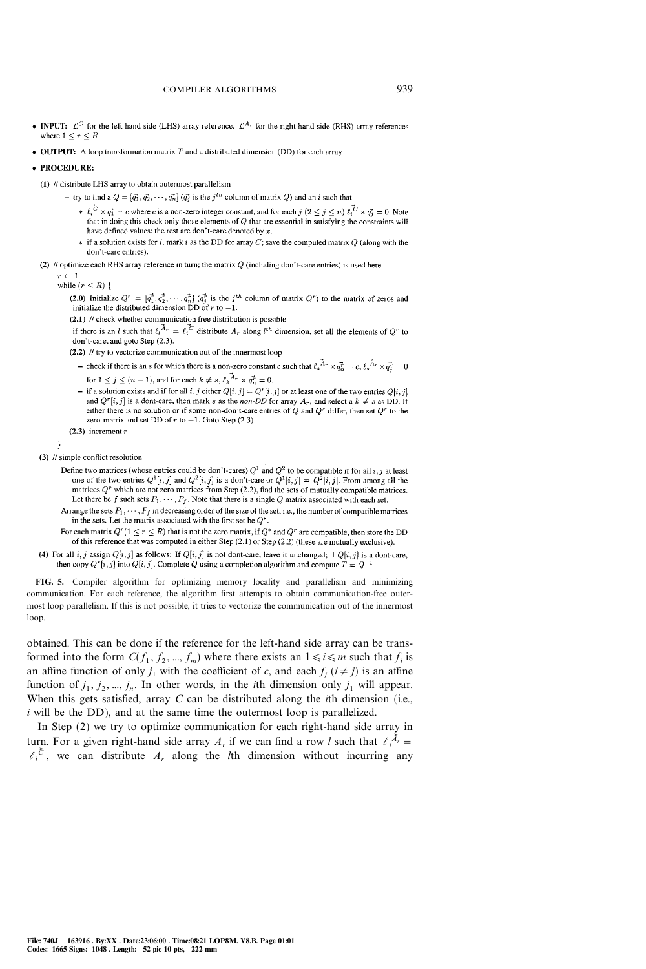- INPUT:  $\mathcal{L}^C$  for the left hand side (LHS) array reference.  $\mathcal{L}^{A_r}$  for the right hand side (RHS) array references where  $1 \leq r \leq R$
- OUTPUT: A loop transformation matrix T and a distributed dimension (DD) for each array

#### · PROCEDURE:

- (1) // distribute LHS array to obtain outermost parallelism
	- try to find a  $Q = [\vec{q_1}, \vec{q_2}, \cdots, \vec{q_n}]$  ( $\vec{q_i}$  is the  $j^{th}$  column of matrix Q) and an i such that
		- $*\ell_i^{\vec{C}} \times \vec{q_1} = c$  where c is a non-zero integer constant, and for each  $j$   $(2 \le j \le n) \ell_i^{\vec{C}} \times \vec{q_j} = 0$ . Note that in doing this check only those elements of  $Q$  that are essential in satisfying the constraints will have defined values; the rest are don't-care denoted by  $x$ .
		- \* if a solution exists for i, mark i as the DD for array C; save the computed matrix Q (along with the don't-care entries).
- (2)  $\#$  optimize each RHS array reference in turn; the matrix  $Q$  (including don't-care entries) is used here.

 $r \leftarrow 1$ 

while  $(r \leq R)$  {

(2.0) Initialize  $Q^r = [\vec{q_1^r}, \vec{q_2^r}, \cdots, \vec{q_n^r}]$  ( $\vec{q_i^r}$  is the  $j^{th}$  column of matrix  $Q^r$ ) to the matrix of zeros and initialize the distributed dimension DD of  $r$  to  $-1$ .

 $(2.1)$  // check whether communication free distribution is possible

if there is an l such that  $\ell_i^A = \ell_i^C$  distribute  $A_r$  along  $l^{th}$  dimension, set all the elements of  $Q^r$  to don't-care, and goto Step (2.3).

 $(2.2)$  // try to vectorize communication out of the innermost loop

- check if there is an s for which there is a non-zero constant c such that  $\ell_s \vec{A}$   $\times q_h \vec{A}$   $\times q_h \vec{A}$   $\times q_f \vec{B}$  = 0 for  $1 \leq j \leq (n-1)$ , and for each  $k \neq s$ ,  $\ell_k^A \rightarrow \bar{q}_n^T = 0$ .
- if a solution exists and if for all i, j either  $Q[i, j] = Q^r[i, j]$  or at least one of the two entries  $Q[i, j]$ and  $Q^r[i, j]$  is a dont-care, then mark s as the non-DD for array  $A_r$ , and select a  $k \neq s$  as DD. If either there is no solution or if some non-don't-care entries of Q and Q" differ, then set  $Q<sup>r</sup>$  to the zero-matrix and set DD of  $r$  to  $-1$ . Goto Step (2.3).

$$
(2.3) increment r
$$

 $\}$ 

- (3) // simple conflict resolution
	- Define two matrices (whose entries could be don't-cares)  $Q^1$  and  $Q^2$  to be compatible if for all i, j at least one of the two entries  $Q^1[i, j]$  and  $Q^2[i, j]$  is a don't-care or  $Q^1[i, j] = Q^2[i, j]$ . From among all the matrices  $Q<sup>r</sup>$  which are not zero matrices from Step (2.2), find the sets of mutually compatible matrices. Let there be f such sets  $P_1, \dots, P_f$ . Note that there is a single Q matrix associated with each set.
	- Arrange the sets  $P_1, \dots, P_f$  in decreasing order of the size of the set, i.e., the number of compatible matrices in the sets. Let the matrix associated with the first set be  $Q^*$ .
	- For each matrix  $Q^r(1 \leq r \leq R)$  that is not the zero matrix, if  $Q^*$  and  $Q^r$  are compatible, then store the DD of this reference that was computed in either Step  $(2.1)$  or Step  $(2.2)$  (these are mutually exclusive).
- (4) For all i, j assign  $Q[i, j]$  as follows: If  $Q[i, j]$  is not dont-care, leave it unchanged; if  $Q[i, j]$  is a dont-care, then copy  $Q^*[i, j]$  into  $Q[i, j]$ . Complete Q using a completion algorithm and compute  $T = Q^{-1}$

FIG. 5. Compiler algorithm for optimizing memory locality and parallelism and minimizing communication. For each reference, the algorithm first attempts to obtain communication-free outermost loop parallelism. If this is not possible, it tries to vectorize the communication out of the innermost loop.

obtained. This can be done if the reference for the left-hand side array can be transformed into the form  $C(f_1, f_2, ..., f_m)$  where there exists an  $1 \le i \le m$  such that  $f_i$  is an affine function of only  $j_1$  with the coefficient of c, and each  $f_i$  ( $i \neq j$ ) is an affine function of  $j_1$ ,  $j_2$ , ...,  $j_n$ . In other words, in the *i*th dimension only  $j_1$  will appear. When this gets satisfied, array  $C$  can be distributed along the *i*th dimension (i.e.,  $i$  will be the DD), and at the same time the outermost loop is parallelized.

In Step (2) we try to optimize communication for each right-hand side array in turn. For a given right-hand side array  $A_r$  if we can find a row l such that  $\ell_1^{\bar{A}_r} =$ turn. For a given right-hand side array  $A_r$  if we can find a row l such that  $\overline{\ell_1}^{\overline{A}_r} = \overline{\ell_1}^{\overline{C}}$ , we can distribute  $A_r$  along the lth dimension without incurring any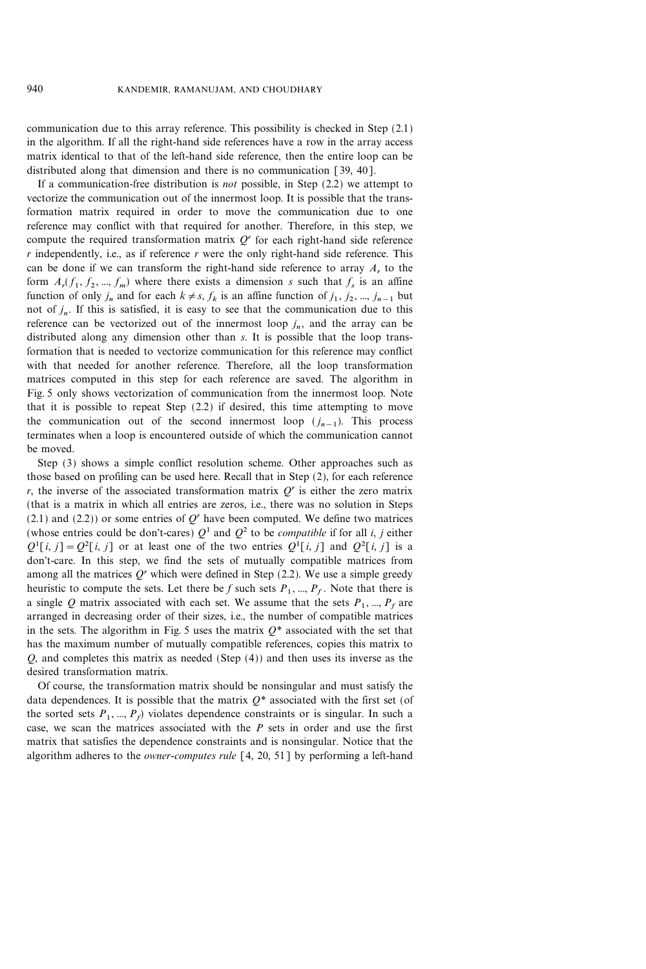communication due to this array reference. This possibility is checked in Step (2.1) in the algorithm. If all the right-hand side references have a row in the array access matrix identical to that of the left-hand side reference, then the entire loop can be distributed along that dimension and there is no communication [39, 40].

If a communication-free distribution is *not* possible, in Step  $(2.2)$  we attempt to vectorize the communication out of the innermost loop. It is possible that the transformation matrix required in order to move the communication due to one reference may conflict with that required for another. Therefore, in this step, we compute the required transformation matrix  $Q<sup>r</sup>$  for each right-hand side reference  $r$  independently, i.e., as if reference  $r$  were the only right-hand side reference. This can be done if we can transform the right-hand side reference to array  $A<sub>r</sub>$  to the form  $A_r(f_1, f_2, ..., f_m)$  where there exists a dimension s such that  $f_s$  is an affine function of only  $j_n$  and for each  $k \neq s$ ,  $f_k$  is an affine function of  $j_1, j_2, ..., j_{n-1}$  but not of  $j_n$ . If this is satisfied, it is easy to see that the communication due to this reference can be vectorized out of the innermost loop  $j_n$ , and the array can be distributed along any dimension other than s. It is possible that the loop transformation that is needed to vectorize communication for this reference may conflict with that needed for another reference. Therefore, all the loop transformation matrices computed in this step for each reference are saved. The algorithm in Fig. 5 only shows vectorization of communication from the innermost loop. Note that it is possible to repeat Step (2.2) if desired, this time attempting to move the communication out of the second innermost loop  $(j_{n-1})$ . This process terminates when a loop is encountered outside of which the communication cannot be moved.

Step (3) shows a simple conflict resolution scheme. Other approaches such as those based on profiling can be used here. Recall that in Step (2), for each reference r, the inverse of the associated transformation matrix  $Q<sup>r</sup>$  is either the zero matrix (that is a matrix in which all entries are zeros, i.e., there was no solution in Steps  $(2.1)$  and  $(2.2)$ ) or some entries of  $Q<sup>r</sup>$  have been computed. We define two matrices (whose entries could be don't-cares)  $Q^1$  and  $Q^2$  to be *compatible* if for all *i*, *j* either  $Q^1[i, j] = Q^2[i, j]$  or at least one of the two entries  $Q^1[i, j]$  and  $Q^2[i, j]$  is a don't-care. In this step, we find the sets of mutually compatible matrices from among all the matrices  $Q<sup>r</sup>$  which were defined in Step (2.2). We use a simple greedy heuristic to compute the sets. Let there be f such sets  $P_1$ , ...,  $P_f$ . Note that there is a single Q matrix associated with each set. We assume that the sets  $P_1$ , ...,  $P_f$  are arranged in decreasing order of their sizes, i.e., the number of compatible matrices in the sets. The algorithm in Fig. 5 uses the matrix  $Q^*$  associated with the set that has the maximum number of mutually compatible references, copies this matrix to  $Q$ , and completes this matrix as needed (Step  $(4)$ ) and then uses its inverse as the desired transformation matrix.

Of course, the transformation matrix should be nonsingular and must satisfy the data dependences. It is possible that the matrix  $Q^*$  associated with the first set (of the sorted sets  $P_1, ..., P_f$  violates dependence constraints or is singular. In such a case, we scan the matrices associated with the  $P$  sets in order and use the first matrix that satisfies the dependence constraints and is nonsingular. Notice that the algorithm adheres to the *owner-computes rule*  $\lceil 4, 20, 51 \rceil$  by performing a left-hand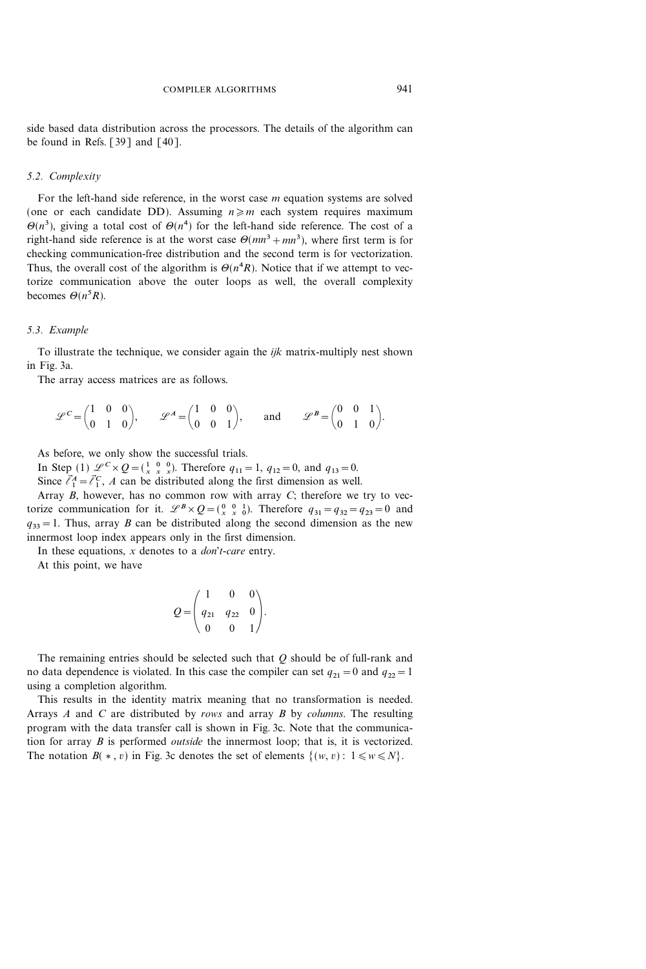side based data distribution across the processors. The details of the algorithm can be found in Refs. [39] and [40].

# 5.2. Complexity

For the left-hand side reference, in the worst case  $m$  equation systems are solved (one or each candidate DD). Assuming  $n \ge m$  each system requires maximum  $\Theta(n^3)$ , giving a total cost of  $\Theta(n^4)$  for the left-hand side reference. The cost of a right-hand side reference is at the worst case  $\Theta(mn^3 + mn^3)$ , where first term is for checking communication-free distribution and the second term is for vectorization. Thus, the overall cost of the algorithm is  $\Theta(n^4R)$ . Notice that if we attempt to vectorize communication above the outer loops as well, the overall complexity becomes  $\Theta(n^5R)$ .

# 5.3. Example

To illustrate the technique, we consider again the  $ijk$  matrix-multiply nest shown in Fig. 3a.

The array access matrices are as follows.

$$
\mathcal{L}^C = \begin{pmatrix} 1 & 0 & 0 \\ 0 & 1 & 0 \end{pmatrix}, \qquad \mathcal{L}^A = \begin{pmatrix} 1 & 0 & 0 \\ 0 & 0 & 1 \end{pmatrix}, \qquad \text{and} \qquad \mathcal{L}^B = \begin{pmatrix} 0 & 0 & 1 \\ 0 & 1 & 0 \end{pmatrix}.
$$

As before, we only show the successful trials.

In Step (1)  $\mathcal{L}^C \times Q = (\frac{1}{x}, \frac{0}{x}, \frac{0}{x})$ . Therefore  $q_{11} = 1$ ,  $q_{12} = 0$ , and  $q_{13} = 0$ .

Since  $\vec{\ell}_1^A = \vec{\ell}_1^C$ , A can be distributed along the first dimension as well.

Array  $B$ , however, has no common row with array  $C$ ; therefore we try to vectorize communication for it.  $\mathcal{L}^B \times Q = (\begin{matrix} 0 & 0 & 1 \\ x & x & 0 \end{matrix})$ . Therefore  $q_{31} = q_{32} = q_{23} = 0$  and  $q_{33} = 1$ . Thus, array B can be distributed along the second dimension as the new innermost loop index appears only in the first dimension.

In these equations,  $x$  denotes to a *don't-care* entry.

At this point, we have

$$
Q = \begin{pmatrix} 1 & 0 & 0 \\ q_{21} & q_{22} & 0 \\ 0 & 0 & 1 \end{pmatrix}.
$$

The remaining entries should be selected such that  $Q$  should be of full-rank and no data dependence is violated. In this case the compiler can set  $q_{21}=0$  and  $q_{22}=1$ using a completion algorithm.

This results in the identity matrix meaning that no transformation is needed. Arrays A and C are distributed by rows and array B by columns. The resulting program with the data transfer call is shown in Fig. 3c. Note that the communication for array  $B$  is performed *outside* the innermost loop; that is, it is vectorized. The notation  $B(*)$ , v) in Fig. 3c denotes the set of elements  $\{(w, v): 1 \le w \le N\}$ .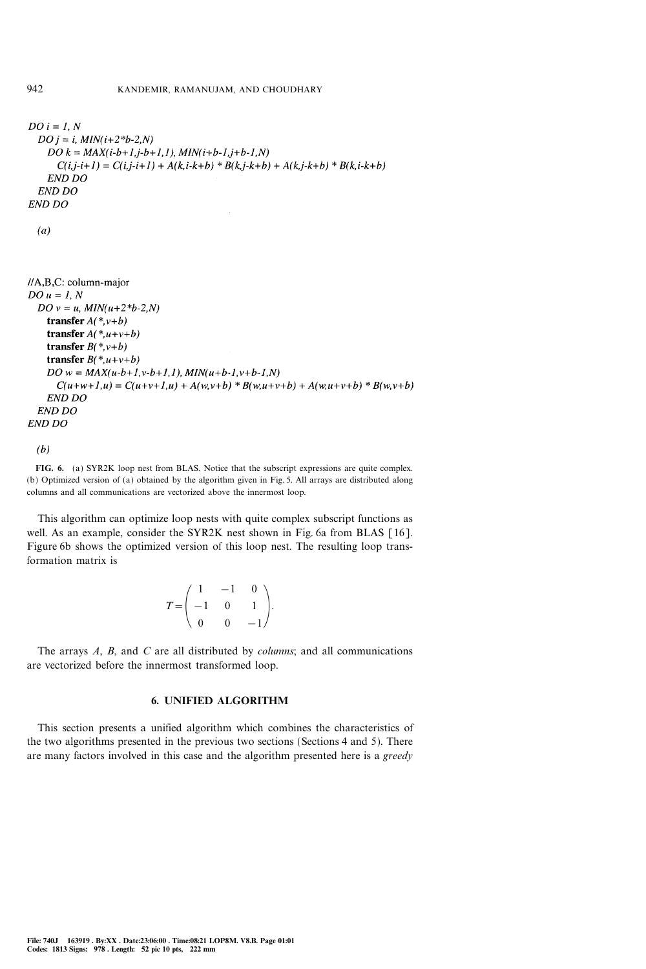$$
DO i = 1, N
$$
  
\n
$$
DO j = i, MIN(i+2*b-2,N)
$$
  
\n
$$
DO k = MAX(i-b+1,j-b+1,1), MIN(i+b-1,j+b-1,N)
$$
  
\n
$$
C(i,j-i+1) = C(i,j-i+1) + A(k,i-k+b) * B(k,j-k+b) + A(k,j-k+b) * B(k,i-k+b)
$$
  
\nEND DO  
\nEND DO  
\nEND DO

 $(a)$ 

 $\mathsf{II}$ A,B,C: column-major  $DO u = 1, N$  $DO v = u$ ,  $MIN(u+2*b-2,N)$ transfer  $A(*,v+b)$ transfer  $A(*,u+v+b)$ transfer  $B(*, v+b)$ transfer  $B(*,u+v+b)$  $DO w = MAX(u-b+1,v-b+1,1), MIN(u+b-1,v+b-1,N)$  $C(u+w+1,u) = C(u+v+1,u) + A(w,v+b) * B(w,u+v+b) + A(w,u+v+b) * B(w,v+b)$ **END DO END DO END DO** 

 $(b)$ 

FIG. 6. (a) SYR2K loop nest from BLAS. Notice that the subscript expressions are quite complex. (b) Optimized version of (a) obtained by the algorithm given in Fig. 5. All arrays are distributed along columns and all communications are vectorized above the innermost loop.

This algorithm can optimize loop nests with quite complex subscript functions as well. As an example, consider the SYR2K nest shown in Fig. 6a from BLAS [16]. Figure 6b shows the optimized version of this loop nest. The resulting loop transformation matrix is

$$
T = \begin{pmatrix} 1 & -1 & 0 \\ -1 & 0 & 1 \\ 0 & 0 & -1 \end{pmatrix}.
$$

The arrays  $A$ ,  $B$ , and  $C$  are all distributed by *columns*; and all communications are vectorized before the innermost transformed loop.

# 6. UNIFIED ALGORITHM

This section presents a unified algorithm which combines the characteristics of the two algorithms presented in the previous two sections (Sections 4 and 5). There are many factors involved in this case and the algorithm presented here is a greedy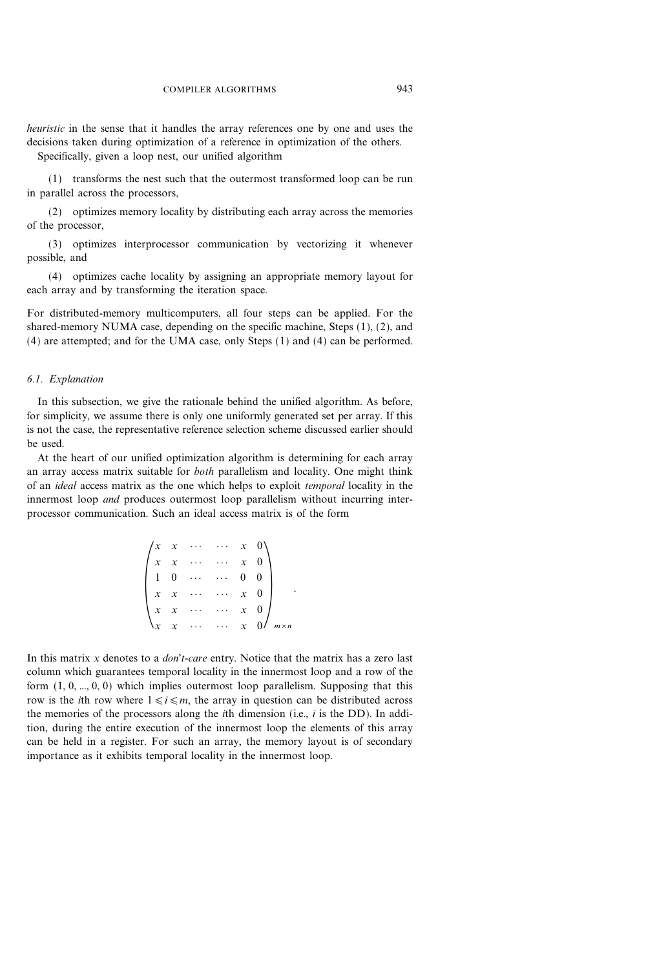heuristic in the sense that it handles the array references one by one and uses the decisions taken during optimization of a reference in optimization of the others.

Specifically, given a loop nest, our unified algorithm

(1) transforms the nest such that the outermost transformed loop can be run in parallel across the processors,

(2) optimizes memory locality by distributing each array across the memories of the processor,

(3) optimizes interprocessor communication by vectorizing it whenever possible, and

(4) optimizes cache locality by assigning an appropriate memory layout for each array and by transforming the iteration space.

For distributed-memory multicomputers, all four steps can be applied. For the shared-memory NUMA case, depending on the specific machine, Steps (1), (2), and (4) are attempted; and for the UMA case, only Steps (1) and (4) can be performed.

# 6.1. Explanation

In this subsection, we give the rationale behind the unified algorithm. As before, for simplicity, we assume there is only one uniformly generated set per array. If this is not the case, the representative reference selection scheme discussed earlier should be used.

At the heart of our unified optimization algorithm is determining for each array an array access matrix suitable for *both* parallelism and locality. One might think of an *ideal* access matrix as the one which helps to exploit *temporal* locality in the innermost loop and produces outermost loop parallelism without incurring interprocessor communication. Such an ideal access matrix is of the form

|  |                                                                                  |               | $x \quad 0 \setminus$ |
|--|----------------------------------------------------------------------------------|---------------|-----------------------|
|  |                                                                                  | $x\quad 0$    |                       |
|  | $x \quad x \quad \cdots$<br>$x \quad x \quad \cdots$<br>$1 \quad 0 \quad \cdots$ | $0 \quad 0$   |                       |
|  |                                                                                  |               | $x \quad 0$           |
|  |                                                                                  |               | $x \quad 0 \mid$      |
|  |                                                                                  | $\mathcal{X}$ | $m \times n$          |
|  |                                                                                  |               |                       |

.

In this matrix x denotes to a *don't-care* entry. Notice that the matrix has a zero last column which guarantees temporal locality in the innermost loop and a row of the form  $(1, 0, \ldots, 0, 0)$  which implies outermost loop parallelism. Supposing that this row is the *i*th row where  $1 \le i \le m$ , the array in question can be distributed across the memories of the processors along the *i*th dimension (i.e., *i* is the DD). In addition, during the entire execution of the innermost loop the elements of this array can be held in a register. For such an array, the memory layout is of secondary importance as it exhibits temporal locality in the innermost loop.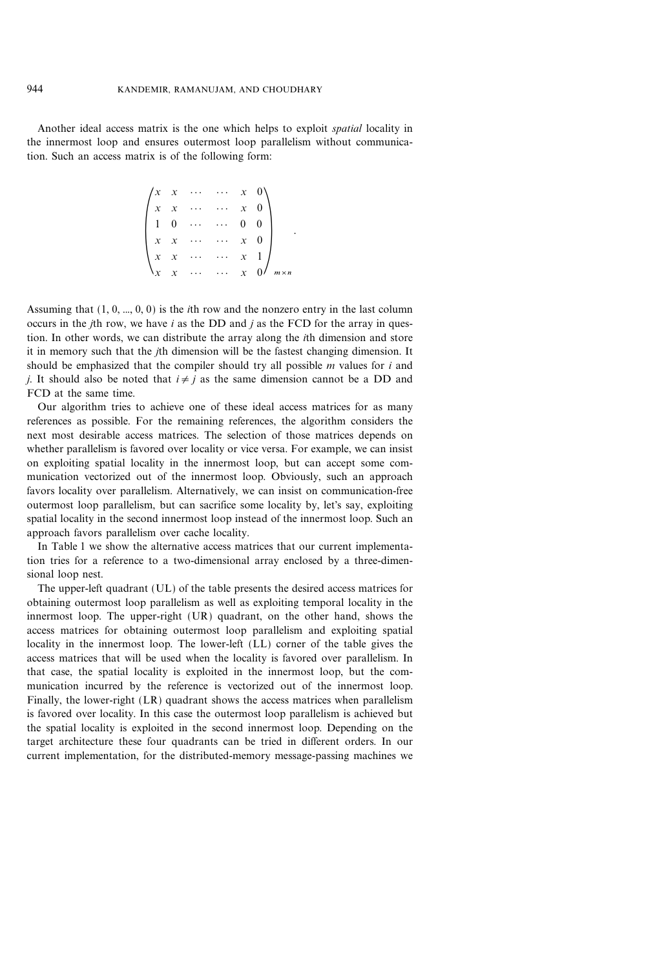Another ideal access matrix is the one which helps to exploit *spatial* locality in the innermost loop and ensures outermost loop parallelism without communication. Such an access matrix is of the following form:

|           | $\int x x \dots \dots$                                                                                                                                                                                      |               | $x \neq 0$             |
|-----------|-------------------------------------------------------------------------------------------------------------------------------------------------------------------------------------------------------------|---------------|------------------------|
|           | $x \quad x \quad \cdots \quad \cdots$                                                                                                                                                                       |               | $x \quad 0$            |
|           | $1 \quad 0 \quad \cdots \quad \cdots$                                                                                                                                                                       | $0 \quad 0$   |                        |
|           | $\begin{array}{ccccccccc}\nx & x & \cdots & \cdots & \cdots & \\ x & x & \cdots & \cdots & \cdots & \cdots & \cdots & \cdots \\ \downarrow x & x & \cdots & \cdots & \cdots & \cdots & \cdots\n\end{array}$ |               | $x \quad 0$            |
|           |                                                                                                                                                                                                             |               | $x \mid 1 \mid$        |
| $\cdot$ x |                                                                                                                                                                                                             | $\mathcal{X}$ | $\frac{1}{m \times n}$ |

.

Assuming that  $(1, 0, \ldots, 0, 0)$  is the *i*th row and the nonzero entry in the last column occurs in the jth row, we have i as the DD and j as the FCD for the array in question. In other words, we can distribute the array along the ith dimension and store it in memory such that the jth dimension will be the fastest changing dimension. It should be emphasized that the compiler should try all possible  $m$  values for  $i$  and j. It should also be noted that  $i \neq j$  as the same dimension cannot be a DD and FCD at the same time.

Our algorithm tries to achieve one of these ideal access matrices for as many references as possible. For the remaining references, the algorithm considers the next most desirable access matrices. The selection of those matrices depends on whether parallelism is favored over locality or vice versa. For example, we can insist on exploiting spatial locality in the innermost loop, but can accept some communication vectorized out of the innermost loop. Obviously, such an approach favors locality over parallelism. Alternatively, we can insist on communication-free outermost loop parallelism, but can sacrifice some locality by, let's say, exploiting spatial locality in the second innermost loop instead of the innermost loop. Such an approach favors parallelism over cache locality.

In Table 1 we show the alternative access matrices that our current implementation tries for a reference to a two-dimensional array enclosed by a three-dimensional loop nest.

The upper-left quadrant (UL) of the table presents the desired access matrices for obtaining outermost loop parallelism as well as exploiting temporal locality in the innermost loop. The upper-right (UR) quadrant, on the other hand, shows the access matrices for obtaining outermost loop parallelism and exploiting spatial locality in the innermost loop. The lower-left (LL) corner of the table gives the access matrices that will be used when the locality is favored over parallelism. In that case, the spatial locality is exploited in the innermost loop, but the communication incurred by the reference is vectorized out of the innermost loop. Finally, the lower-right (LR) quadrant shows the access matrices when parallelism is favored over locality. In this case the outermost loop parallelism is achieved but the spatial locality is exploited in the second innermost loop. Depending on the target architecture these four quadrants can be tried in different orders. In our current implementation, for the distributed-memory message-passing machines we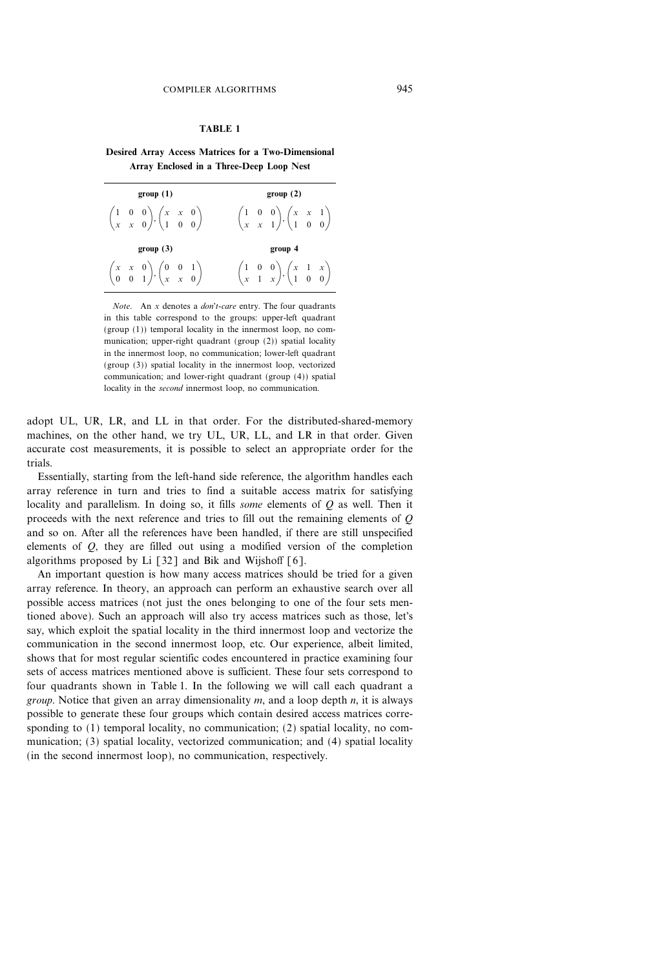#### TABLE 1

Desired Array Access Matrices for a Two-Dimensional Array Enclosed in a Three-Deep Loop Nest

| group(1) |  | group(2)                                                                                                     |  |  |  |                                                                                                              |  |  |
|----------|--|--------------------------------------------------------------------------------------------------------------|--|--|--|--------------------------------------------------------------------------------------------------------------|--|--|
|          |  | $\begin{pmatrix} 1 & 0 & 0 \\ x & x & 0 \end{pmatrix}, \begin{pmatrix} x & x & 0 \\ 1 & 0 & 0 \end{pmatrix}$ |  |  |  | $\begin{pmatrix} 1 & 0 & 0 \\ x & x & 1 \end{pmatrix}, \begin{pmatrix} x & x & 1 \\ 1 & 0 & 0 \end{pmatrix}$ |  |  |
|          |  | group $(3)$                                                                                                  |  |  |  | group 4                                                                                                      |  |  |
|          |  | $\begin{pmatrix} x & x & 0 \\ 0 & 0 & 1 \end{pmatrix}, \begin{pmatrix} 0 & 0 & 1 \\ x & x & 0 \end{pmatrix}$ |  |  |  | $\begin{pmatrix} 1 & 0 & 0 \\ x & 1 & x \end{pmatrix}, \begin{pmatrix} x & 1 & x \\ 1 & 0 & 0 \end{pmatrix}$ |  |  |

*Note.* An  $x$  denotes a *don't-care* entry. The four quadrants in this table correspond to the groups: upper-left quadrant (group (1)) temporal locality in the innermost loop, no communication; upper-right quadrant (group (2)) spatial locality in the innermost loop, no communication; lower-left quadrant (group (3)) spatial locality in the innermost loop, vectorized communication; and lower-right quadrant (group (4)) spatial locality in the second innermost loop, no communication.

adopt UL, UR, LR, and LL in that order. For the distributed-shared-memory machines, on the other hand, we try UL, UR, LL, and LR in that order. Given accurate cost measurements, it is possible to select an appropriate order for the trials.

Essentially, starting from the left-hand side reference, the algorithm handles each array reference in turn and tries to find a suitable access matrix for satisfying locality and parallelism. In doing so, it fills *some* elements of  $Q$  as well. Then it proceeds with the next reference and tries to fill out the remaining elements of  $\hat{Q}$ and so on. After all the references have been handled, if there are still unspecified elements of  $Q$ , they are filled out using a modified version of the completion algorithms proposed by Li [32] and Bik and Wijshoff [6].

An important question is how many access matrices should be tried for a given array reference. In theory, an approach can perform an exhaustive search over all possible access matrices (not just the ones belonging to one of the four sets mentioned above). Such an approach will also try access matrices such as those, let's say, which exploit the spatial locality in the third innermost loop and vectorize the communication in the second innermost loop, etc. Our experience, albeit limited, shows that for most regular scientific codes encountered in practice examining four sets of access matrices mentioned above is sufficient. These four sets correspond to four quadrants shown in Table 1. In the following we will call each quadrant a *group.* Notice that given an array dimensionality  $m$ , and a loop depth  $n$ , it is always possible to generate these four groups which contain desired access matrices corresponding to (1) temporal locality, no communication; (2) spatial locality, no communication; (3) spatial locality, vectorized communication; and (4) spatial locality (in the second innermost loop), no communication, respectively.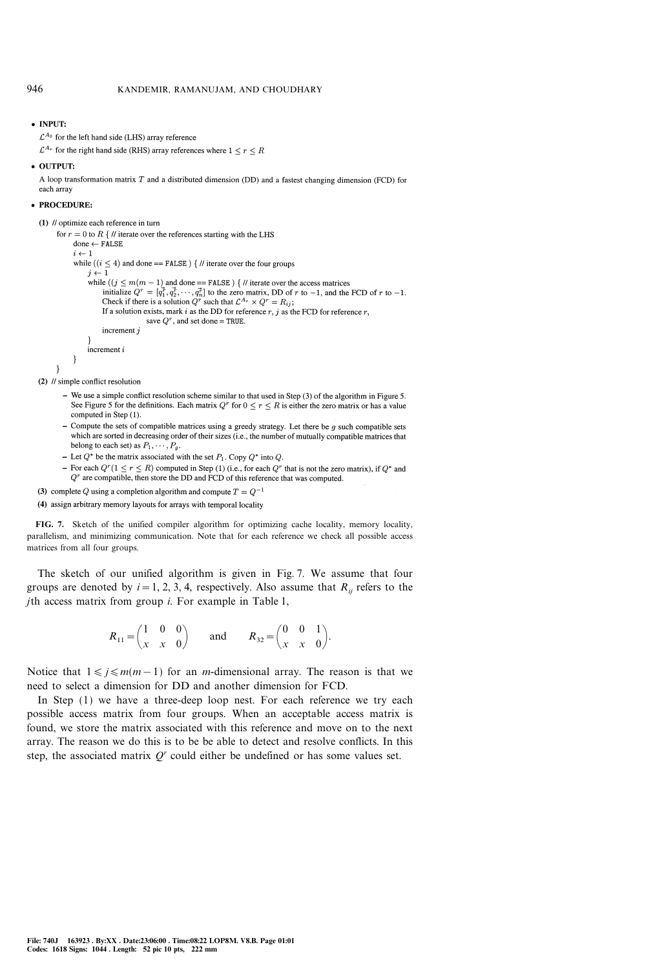$\bullet$  INPUT:

 $\mathcal{L}^{A_0}$  for the left hand side (LHS) array reference

 $\mathcal{L}^{A_r}$  for the right hand side (RHS) array references where  $1 \leq r \leq R$ 

• OUTPUT:

A loop transformation matrix  $T$  and a distributed dimension (DD) and a fastest changing dimension (FCD) for each array

#### · PROCEDURE:

 $(1)$  // optimize each reference in turn

```
for r = 0 to R \{ // iterate over the references starting with the LHS
     done \leftarrow FALSE
      i \leftarrow 1while ((i \le 4) and done == FALSE) { // iterate over the four groups
          i \leftarrow 1while ((j \le m(m-1) and done == FALSE) { // iterate over the access matrices
                initialize Q^r = [\vec{q_1^r}, \vec{q_2^r}, \cdots, \vec{q_n^r}] to the zero matrix, DD of r to -1, and the FCD of r to -1.
                Check if there is a solution Q^r such that \mathcal{L}^{A_r} \times Q^r = R_{ij};
                If a solution exists, mark i as the DD for reference r, j as the FCD for reference r,
                               save Q^r, and set done = TRUE.
                increment jJ
          increment i
     \mathcal{E}
```
 $(2)$  // simple conflict resolution

ł

- $-$  We use a simple conflict resolution scheme similar to that used in Step (3) of the algorithm in Figure 5. See Figure 5 for the definitions. Each matrix  $Q^r$  for  $0 \le r \le R$  is either the zero matrix or has a value computed in Step (1).
- Compute the sets of compatible matrices using a greedy strategy. Let there be  $g$  such compatible sets which are sorted in decreasing order of their sizes (i.e., the number of mutually compatible matrices that belong to each set) as  $P_1, \cdots, P_q$ .
- Let  $Q^*$  be the matrix associated with the set  $P_1$ . Copy  $Q^*$  into  $Q$ .
- For each  $Q^r(1 \le r \le R)$  computed in Step (1) (i.e., for each  $Q^r$  that is not the zero matrix), if  $Q^*$  and  $Q<sup>r</sup>$  are compatible, then store the DD and FCD of this reference that was computed.
- (3) complete Q using a completion algorithm and compute  $T = Q^{-1}$
- (4) assign arbitrary memory layouts for arrays with temporal locality

FIG. 7. Sketch of the unified compiler algorithm for optimizing cache locality, memory locality, parallelism, and minimizing communication. Note that for each reference we check all possible access matrices from all four groups.

The sketch of our unified algorithm is given in Fig. 7. We assume that four groups are denoted by  $i=1, 2, 3, 4$ , respectively. Also assume that  $R_{ii}$  refers to the jth access matrix from group i. For example in Table 1,

$$
R_{11} = \begin{pmatrix} 1 & 0 & 0 \\ x & x & 0 \end{pmatrix} \qquad \text{and} \qquad R_{32} = \begin{pmatrix} 0 & 0 & 1 \\ x & x & 0 \end{pmatrix}.
$$

Notice that  $1 \leq j \leq m(m-1)$  for an *m*-dimensional array. The reason is that we need to select a dimension for DD and another dimension for FCD.

In Step (1) we have a three-deep loop nest. For each reference we try each possible access matrix from four groups. When an acceptable access matrix is found, we store the matrix associated with this reference and move on to the next array. The reason we do this is to be be able to detect and resolve conflicts. In this step, the associated matrix  $Q<sup>r</sup>$  could either be undefined or has some values set.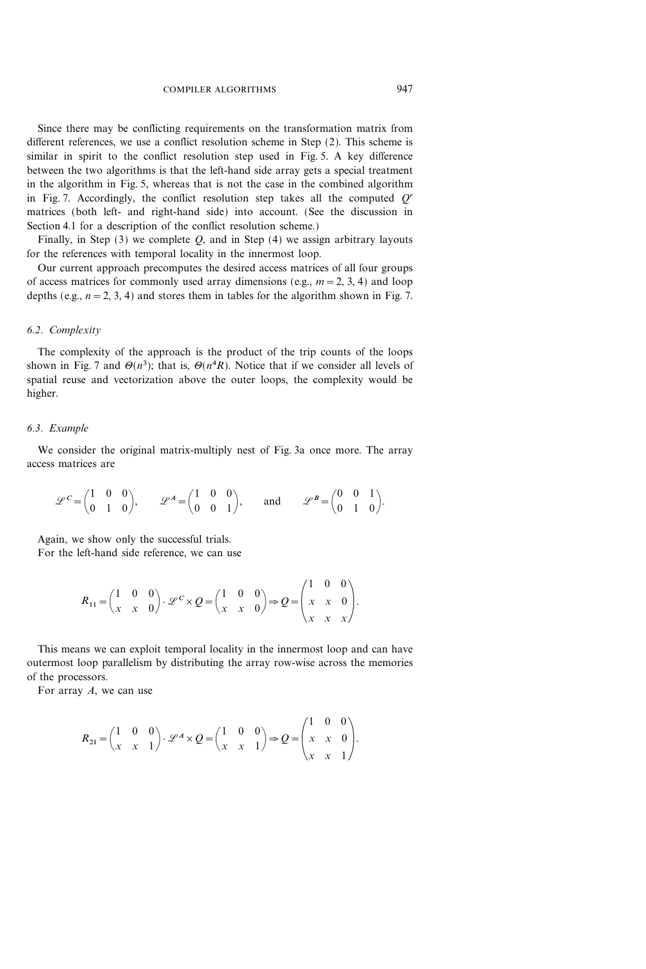Since there may be conflicting requirements on the transformation matrix from different references, we use a conflict resolution scheme in Step (2). This scheme is similar in spirit to the conflict resolution step used in Fig. 5. A key difference between the two algorithms is that the left-hand side array gets a special treatment in the algorithm in Fig. 5, whereas that is not the case in the combined algorithm in Fig. 7. Accordingly, the conflict resolution step takes all the computed  $Q<sup>r</sup>$ matrices (both left- and right-hand side) into account. (See the discussion in Section 4.1 for a description of the conflict resolution scheme.)

Finally, in Step  $(3)$  we complete Q, and in Step  $(4)$  we assign arbitrary layouts for the references with temporal locality in the innermost loop.

Our current approach precomputes the desired access matrices of all four groups of access matrices for commonly used array dimensions (e.g.,  $m=2, 3, 4$ ) and loop depths (e.g.,  $n = 2, 3, 4$ ) and stores them in tables for the algorithm shown in Fig. 7.

## 6.2. Complexity

The complexity of the approach is the product of the trip counts of the loops shown in Fig. 7 and  $\Theta(n^3)$ ; that is,  $\Theta(n^4R)$ . Notice that if we consider all levels of spatial reuse and vectorization above the outer loops, the complexity would be higher.

# 6.3. Example

We consider the original matrix-multiply nest of Fig. 3a once more. The array access matrices are

$$
\mathscr{L}^C = \begin{pmatrix} 1 & 0 & 0 \\ 0 & 1 & 0 \end{pmatrix}, \qquad \mathscr{L}^A = \begin{pmatrix} 1 & 0 & 0 \\ 0 & 0 & 1 \end{pmatrix}, \qquad \text{and} \qquad \mathscr{L}^B = \begin{pmatrix} 0 & 0 & 1 \\ 0 & 1 & 0 \end{pmatrix}.
$$

Again, we show only the successful trials.

For the left-hand side reference, we can use

$$
R_{11} = \begin{pmatrix} 1 & 0 & 0 \\ x & x & 0 \end{pmatrix} \cdot \mathscr{L}^C \times Q = \begin{pmatrix} 1 & 0 & 0 \\ x & x & 0 \end{pmatrix} \Rightarrow Q = \begin{pmatrix} 1 & 0 & 0 \\ x & x & 0 \\ x & x & x \end{pmatrix}.
$$

This means we can exploit temporal locality in the innermost loop and can have outermost loop parallelism by distributing the array row-wise across the memories of the processors.

For array  $A$ , we can use

$$
R_{21} = \begin{pmatrix} 1 & 0 & 0 \\ x & x & 1 \end{pmatrix} \cdot \mathscr{L}^A \times Q = \begin{pmatrix} 1 & 0 & 0 \\ x & x & 1 \end{pmatrix} \Rightarrow Q = \begin{pmatrix} 1 & 0 & 0 \\ x & x & 0 \\ x & x & 1 \end{pmatrix}.
$$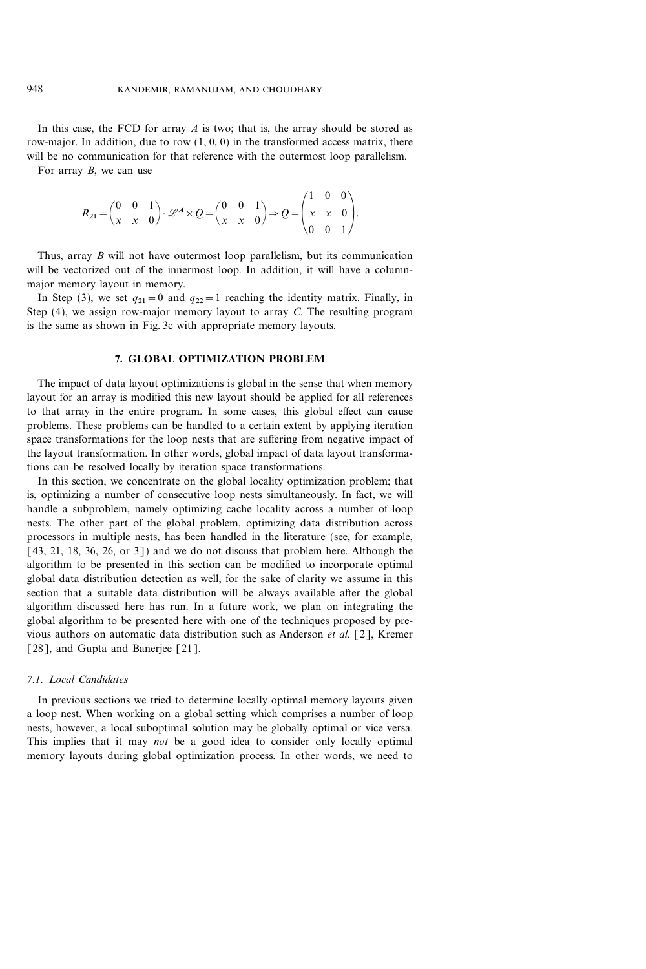In this case, the FCD for array  $\vec{A}$  is two; that is, the array should be stored as row-major. In addition, due to row  $(1, 0, 0)$  in the transformed access matrix, there will be no communication for that reference with the outermost loop parallelism.

For array  $B$ , we can use

$$
R_{21} = \begin{pmatrix} 0 & 0 & 1 \\ x & x & 0 \end{pmatrix} \cdot \mathscr{L}^A \times Q = \begin{pmatrix} 0 & 0 & 1 \\ x & x & 0 \end{pmatrix} \Rightarrow Q = \begin{pmatrix} 1 & 0 & 0 \\ x & x & 0 \\ 0 & 0 & 1 \end{pmatrix}.
$$

Thus, array  $B$  will not have outermost loop parallelism, but its communication will be vectorized out of the innermost loop. In addition, it will have a columnmajor memory layout in memory.

In Step (3), we set  $q_{21}=0$  and  $q_{22}=1$  reaching the identity matrix. Finally, in Step  $(4)$ , we assign row-major memory layout to array C. The resulting program is the same as shown in Fig. 3c with appropriate memory layouts.

#### 7. GLOBAL OPTIMIZATION PROBLEM

The impact of data layout optimizations is global in the sense that when memory layout for an array is modified this new layout should be applied for all references to that array in the entire program. In some cases, this global effect can cause problems. These problems can be handled to a certain extent by applying iteration space transformations for the loop nests that are suffering from negative impact of the layout transformation. In other words, global impact of data layout transformations can be resolved locally by iteration space transformations.

In this section, we concentrate on the global locality optimization problem; that is, optimizing a number of consecutive loop nests simultaneously. In fact, we will handle a subproblem, namely optimizing cache locality across a number of loop nests. The other part of the global problem, optimizing data distribution across processors in multiple nests, has been handled in the literature (see, for example, [43, 21, 18, 36, 26, or 3]) and we do not discuss that problem here. Although the algorithm to be presented in this section can be modified to incorporate optimal global data distribution detection as well, for the sake of clarity we assume in this section that a suitable data distribution will be always available after the global algorithm discussed here has run. In a future work, we plan on integrating the global algorithm to be presented here with one of the techniques proposed by previous authors on automatic data distribution such as Anderson *et al.* [2], Kremer [28], and Gupta and Banerjee [21].

# 7.1. Local Candidates

In previous sections we tried to determine locally optimal memory layouts given a loop nest. When working on a global setting which comprises a number of loop nests, however, a local suboptimal solution may be globally optimal or vice versa. This implies that it may *not* be a good idea to consider only locally optimal memory layouts during global optimization process. In other words, we need to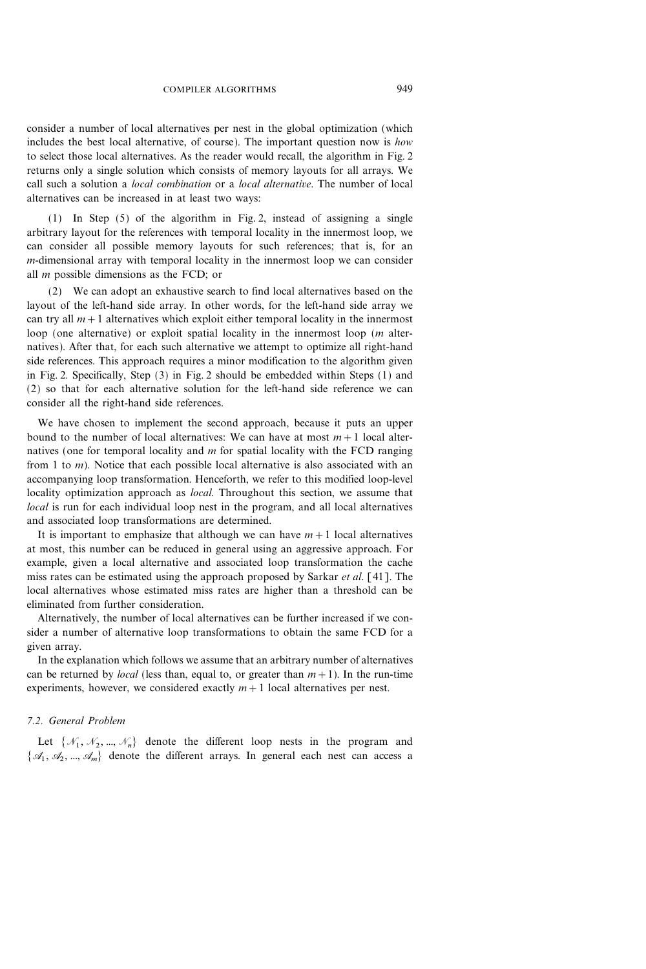consider a number of local alternatives per nest in the global optimization (which includes the best local alternative, of course). The important question now is how to select those local alternatives. As the reader would recall, the algorithm in Fig. 2 returns only a single solution which consists of memory layouts for all arrays. We call such a solution a *local combination* or a *local alternative*. The number of local alternatives can be increased in at least two ways:

(1) In Step (5) of the algorithm in Fig. 2, instead of assigning a single arbitrary layout for the references with temporal locality in the innermost loop, we can consider all possible memory layouts for such references; that is, for an m-dimensional array with temporal locality in the innermost loop we can consider all  $m$  possible dimensions as the FCD; or

(2) We can adopt an exhaustive search to find local alternatives based on the layout of the left-hand side array. In other words, for the left-hand side array we can try all  $m+1$  alternatives which exploit either temporal locality in the innermost loop (one alternative) or exploit spatial locality in the innermost loop (*m* alternatives). After that, for each such alternative we attempt to optimize all right-hand side references. This approach requires a minor modification to the algorithm given in Fig. 2. Specifically, Step (3) in Fig. 2 should be embedded within Steps (1) and (2) so that for each alternative solution for the left-hand side reference we can consider all the right-hand side references.

We have chosen to implement the second approach, because it puts an upper bound to the number of local alternatives: We can have at most  $m+1$  local alternatives (one for temporal locality and  $m$  for spatial locality with the FCD ranging from 1 to m). Notice that each possible local alternative is also associated with an accompanying loop transformation. Henceforth, we refer to this modified loop-level locality optimization approach as *local*. Throughout this section, we assume that local is run for each individual loop nest in the program, and all local alternatives and associated loop transformations are determined.

It is important to emphasize that although we can have  $m+1$  local alternatives at most, this number can be reduced in general using an aggressive approach. For example, given a local alternative and associated loop transformation the cache miss rates can be estimated using the approach proposed by Sarkar *et al.* [41]. The local alternatives whose estimated miss rates are higher than a threshold can be eliminated from further consideration.

Alternatively, the number of local alternatives can be further increased if we consider a number of alternative loop transformations to obtain the same FCD for a given array.

In the explanation which follows we assume that an arbitrary number of alternatives can be returned by *local* (less than, equal to, or greater than  $m+1$ ). In the run-time experiments, however, we considered exactly  $m+1$  local alternatives per nest.

## 7.2. General Problem

Let  $\{\mathcal{N}_1, \mathcal{N}_2, ..., \mathcal{N}_n\}$  denote the different loop nests in the program and  $\{\mathcal{A}_1, \mathcal{A}_2, ..., \mathcal{A}_m\}$  denote the different arrays. In general each nest can access a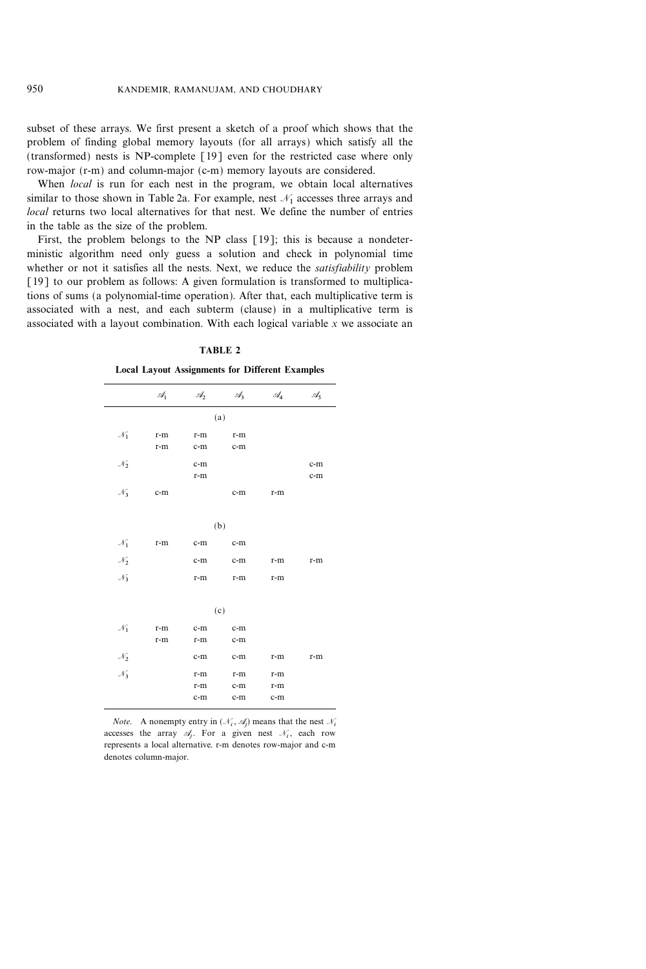subset of these arrays. We first present a sketch of a proof which shows that the problem of finding global memory layouts (for all arrays) which satisfy all the (transformed) nests is NP-complete [19] even for the restricted case where only row-major (r-m) and column-major (c-m) memory layouts are considered.

When *local* is run for each nest in the program, we obtain local alternatives similar to those shown in Table 2a. For example, nest  $\mathcal{N}_1$  accesses three arrays and local returns two local alternatives for that nest. We define the number of entries in the table as the size of the problem.

First, the problem belongs to the NP class [19]; this is because a nondeterministic algorithm need only guess a solution and check in polynomial time whether or not it satisfies all the nests. Next, we reduce the satisfiability problem [19] to our problem as follows: A given formulation is transformed to multiplications of sums (a polynomial-time operation). After that, each multiplicative term is associated with a nest, and each subterm (clause) in a multiplicative term is associated with a layout combination. With each logical variable  $x$  we associate an

|                                                                | --------        |                 |                 |                 | ---               |
|----------------------------------------------------------------|-----------------|-----------------|-----------------|-----------------|-------------------|
|                                                                | $\mathcal{A}_1$ | $\mathscr{A}_2$ | $\mathcal{A}_3$ | $\mathscr{A}_4$ | $\mathcal{A}_{5}$ |
|                                                                |                 |                 | (a)             |                 |                   |
| $\mathcal{N}_1$                                                | r-m             | r-m             | $r-m$           |                 |                   |
|                                                                | r-m             | c-m             | c-m             |                 |                   |
| $\mathcal{N}_2$                                                |                 | c-m             |                 |                 | c-m               |
|                                                                |                 | r-m             |                 |                 | c-m               |
| $\mathcal{N}_3$                                                | c-m             |                 | c-m             | r-m             |                   |
|                                                                |                 |                 |                 |                 |                   |
|                                                                |                 | (b)             |                 |                 |                   |
| $\mathcal{N}_1$                                                | $r-m$           | c-m             | c-m             |                 |                   |
|                                                                |                 | c-m             | c-m             | r-m             | r-m               |
| $\begin{aligned} \mathcal{N}_2 \\ \mathcal{N}_3 \end{aligned}$ |                 | r-m             | $r-m$           | r-m             |                   |
|                                                                |                 |                 |                 |                 |                   |
|                                                                |                 |                 | (c)             |                 |                   |
| $\mathcal{N}_1$                                                | r-m             | c-m             | c-m             |                 |                   |
|                                                                | $r-m$           | r-m             | c-m             |                 |                   |
| $\mathcal{N}_2$ $\mathcal{N}_3$                                |                 | c-m             | c-m             | r-m             | r-m               |
|                                                                |                 | r-m             | r-m             | r-m             |                   |
|                                                                |                 | r-m             | c-m             | r-m             |                   |
|                                                                |                 | c-m             | c-m             | c-m             |                   |

TABLE 2

Local Layout Assignments for Different Examples

*Note.* A nonempty entry in  $(\mathcal{N}_i, \mathcal{A}_j)$  means that the nest  $\mathcal{N}_i$ accesses the array  $A_i$ . For a given nest  $\mathcal{N}_i$ , each row represents a local alternative. r-m denotes row-major and c-m denotes column-major.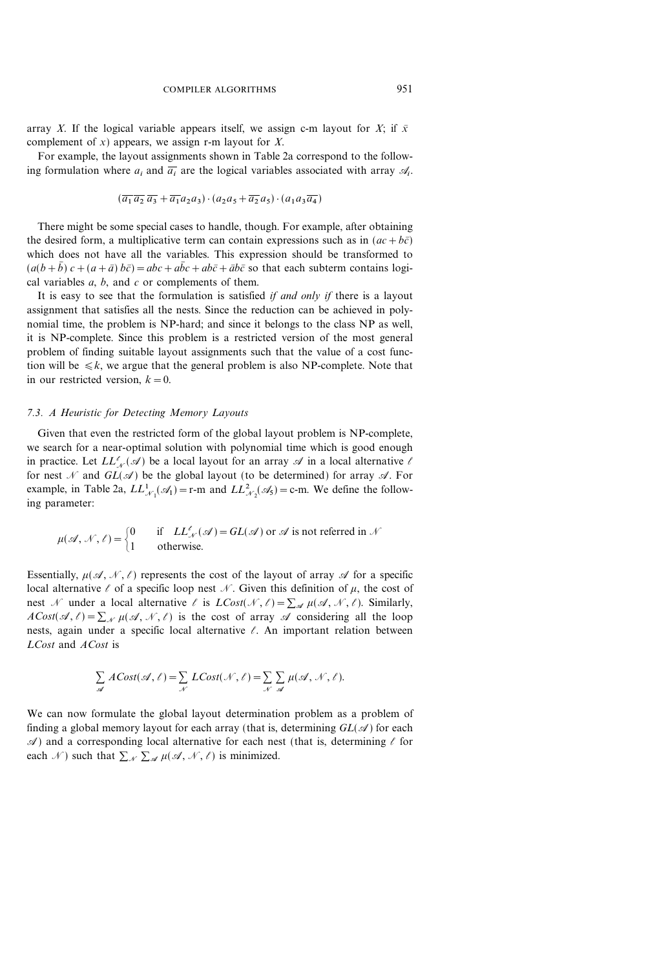array X. If the logical variable appears itself, we assign c-m layout for X; if  $\bar{x}$ complement of  $x$ ) appears, we assign r-m layout for  $X$ .

For example, the layout assignments shown in Table 2a correspond to the following formulation where  $a_i$  and  $\overline{a_i}$  are the logical variables associated with array  $A_i$ .

$$
(\overline{a_1}\overline{a_2}\,\overline{a_3} + \overline{a_1}a_2a_3) \cdot (a_2a_5 + \overline{a_2}a_5) \cdot (a_1a_3\overline{a_4})
$$

There might be some special cases to handle, though. For example, after obtaining the desired form, a multiplicative term can contain expressions such as in  $(ac+b\bar{c})$ which does not have all the variables. This expression should be transformed to  $(a(b+\bar{b}) c + (a+\bar{a}) b\bar{c}) = abc + a\bar{b}c + ab\bar{c} + \bar{a}b\bar{c}$  so that each subterm contains logical variables  $a, b$ , and  $c$  or complements of them.

It is easy to see that the formulation is satisfied *if and only if* there is a layout assignment that satisfies all the nests. Since the reduction can be achieved in polynomial time, the problem is NP-hard; and since it belongs to the class NP as well, it is NP-complete. Since this problem is a restricted version of the most general problem of finding suitable layout assignments such that the value of a cost function will be  $\leq k$ , we argue that the general problem is also NP-complete. Note that in our restricted version,  $k=0$ .

## 7.3. A Heuristic for Detecting Memory Layouts

Given that even the restricted form of the global layout problem is NP-complete, we search for a near-optimal solution with polynomial time which is good enough in practice. Let  $LL_{\mathcal{N}}^{\ell}(\mathcal{A})$  be a local layout for an array  $\mathcal{A}$  in a local alternative  $\ell$ for nest N and  $GL(\mathcal{A})$  be the global layout (to be determined) for array  $\mathcal{A}$ . For example, in Table 2a,  $LL^1_{\mathcal{N}_1}(\mathcal{A}_1) = \text{r-m}$  and  $LL^2_{\mathcal{N}_2}(\mathcal{A}_5) = \text{c-m}$ . We define the following parameter:

$$
\mu(\mathcal{A}, \mathcal{N}, \ell) = \begin{cases} 0 & \text{if } LL'_{\mathcal{N}}(\mathcal{A}) = GL(\mathcal{A}) \text{ or } \mathcal{A} \text{ is not referred in } \mathcal{N} \\ 1 & \text{otherwise.} \end{cases}
$$

Essentially,  $\mu(\mathcal{A}, \mathcal{N}, \ell)$  represents the cost of the layout of array  $\mathcal A$  for a specific local alternative  $\ell$  of a specific loop nest  $\mathcal N$ . Given this definition of  $\mu$ , the cost of nest N under a local alternative l is  $LCost(\mathcal{N}, \ell) = \sum_{\mathcal{A}} \mu(\mathcal{A}, \mathcal{N}, \ell)$ . Similarly,  $ACost(\mathcal{A}, \ell) = \sum_{\mathcal{N}} \mu(\mathcal{A}, \mathcal{N}, \ell)$  is the cost of array  $\mathcal A$  considering all the loop nests, again under a specific local alternative  $\ell$ . An important relation between LCost and *ACost* is

$$
\sum_{\mathscr{A}} \text{ACost}(\mathscr{A}, \ell) = \sum_{\mathscr{N}} \text{LCost}(\mathscr{N}, \ell) = \sum_{\mathscr{N}} \sum_{\mathscr{A}} \mu(\mathscr{A}, \mathscr{N}, \ell).
$$

We can now formulate the global layout determination problem as a problem of finding a global memory layout for each array (that is, determining  $GL(\mathscr{A})$  for each  $\mathscr A$ ) and a corresponding local alternative for each nest (that is, determining  $\ell$  for each N) such that  $\sum_{\mathcal{N}} \sum_{\mathcal{A}} \mu(\mathcal{A}, \mathcal{N}, \ell)$  is minimized.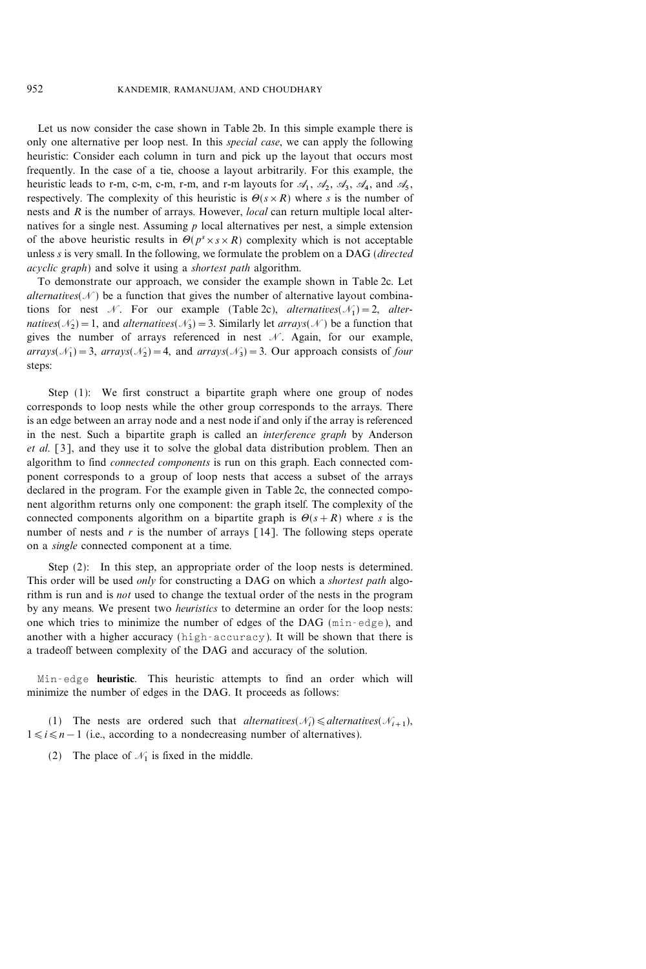Let us now consider the case shown in Table 2b. In this simple example there is only one alternative per loop nest. In this special case, we can apply the following heuristic: Consider each column in turn and pick up the layout that occurs most frequently. In the case of a tie, choose a layout arbitrarily. For this example, the heuristic leads to r-m, c-m, c-m, r-m, and r-m layouts for  $\mathcal{A}_1$ ,  $\mathcal{A}_2$ ,  $\mathcal{A}_3$ ,  $\mathcal{A}_4$ , and  $\mathcal{A}_5$ , respectively. The complexity of this heuristic is  $\Theta(s \times R)$  where s is the number of nests and R is the number of arrays. However, *local* can return multiple local alternatives for a single nest. Assuming  $p$  local alternatives per nest, a simple extension of the above heuristic results in  $\Theta(p^s \times s \times R)$  complexity which is not acceptable unless s is very small. In the following, we formulate the problem on a DAG (directed acyclic graph) and solve it using a *shortest path* algorithm.

To demonstrate our approach, we consider the example shown in Table 2c. Let alternatives( $\mathcal{N}$ ) be a function that gives the number of alternative layout combinations for nest N. For our example (Table 2c), alternatives( $N_1$ ) = 2, alternatives( $\mathcal{N}_2$ ) = 1, and alternatives( $\mathcal{N}_3$ ) = 3. Similarly let arrays( $\mathcal{N}$ ) be a function that gives the number of arrays referenced in nest  $\mathcal N$ . Again, for our example, arrays( $\mathcal{N}_1$ ) = 3, arrays( $\mathcal{N}_2$ ) = 4, and arrays( $\mathcal{N}_3$ ) = 3. Our approach consists of four steps:

Step (1): We first construct a bipartite graph where one group of nodes corresponds to loop nests while the other group corresponds to the arrays. There is an edge between an array node and a nest node if and only if the array is referenced in the nest. Such a bipartite graph is called an *interference graph* by Anderson et al. [3], and they use it to solve the global data distribution problem. Then an algorithm to find *connected components* is run on this graph. Each connected component corresponds to a group of loop nests that access a subset of the arrays declared in the program. For the example given in Table 2c, the connected component algorithm returns only one component: the graph itself. The complexity of the connected components algorithm on a bipartite graph is  $\Theta(s+R)$  where s is the number of nests and  $r$  is the number of arrays  $[14]$ . The following steps operate on a single connected component at a time.

Step (2): In this step, an appropriate order of the loop nests is determined. This order will be used only for constructing a DAG on which a shortest path algorithm is run and is *not* used to change the textual order of the nests in the program by any means. We present two *heuristics* to determine an order for the loop nests: one which tries to minimize the number of edges of the DAG ( $min\text{-}edge$ ), and another with a higher accuracy (high-accuracy). It will be shown that there is a tradeoff between complexity of the DAG and accuracy of the solution.

Min-edge heuristic. This heuristic attempts to find an order which will minimize the number of edges in the DAG. It proceeds as follows:

(1) The nests are ordered such that *alternatives*( $\mathcal{N}_i$ )  $\leq$  *alternatives*( $\mathcal{N}_{i+1}$ ),  $1 \le i \le n-1$  (i.e., according to a nondecreasing number of alternatives).

(2) The place of  $\mathcal{N}_1$  is fixed in the middle.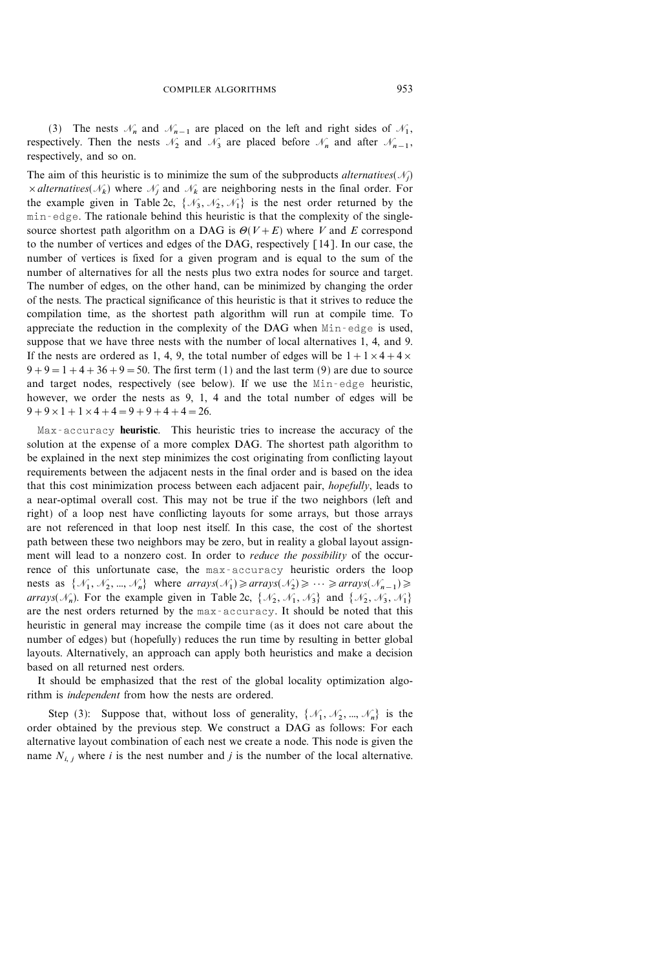(3) The nests  $\mathcal{N}_n$  and  $\mathcal{N}_{n-1}$  are placed on the left and right sides of  $\mathcal{N}_1$ , respectively. Then the nests  $\mathcal{N}_2$  and  $\mathcal{N}_3$  are placed before  $\mathcal{N}_n$  and after  $\mathcal{N}_{n-1}$ , respectively, and so on.

The aim of this heuristic is to minimize the sum of the subproducts *alternatives*( $\mathcal{N}_i$ )  $\times$  alternatives( $\mathcal{N}_k$ ) where  $\mathcal{N}_i$  and  $\mathcal{N}_k$  are neighboring nests in the final order. For the example given in Table 2c,  $\{\mathcal{N}_3, \mathcal{N}_2, \mathcal{N}_1\}$  is the nest order returned by the min-edge. The rationale behind this heuristic is that the complexity of the singlesource shortest path algorithm on a DAG is  $\Theta(V+E)$  where V and E correspond to the number of vertices and edges of the DAG, respectively  $\lceil 14 \rceil$ . In our case, the number of vertices is fixed for a given program and is equal to the sum of the number of alternatives for all the nests plus two extra nodes for source and target. The number of edges, on the other hand, can be minimized by changing the order of the nests. The practical significance of this heuristic is that it strives to reduce the compilation time, as the shortest path algorithm will run at compile time. To appreciate the reduction in the complexity of the DAG when Min-edge is used, suppose that we have three nests with the number of local alternatives 1, 4, and 9. If the nests are ordered as 1, 4, 9, the total number of edges will be  $1+1\times4+4\times$  $9+9=1+4+36+9=50$ . The first term (1) and the last term (9) are due to source and target nodes, respectively (see below). If we use the Min-edge heuristic, however, we order the nests as 9, 1, 4 and the total number of edges will be  $9+9\times1+1\times4+4=9+9+4+4=26.$ 

Max-accuracy **heuristic.** This heuristic tries to increase the accuracy of the solution at the expense of a more complex DAG. The shortest path algorithm to be explained in the next step minimizes the cost originating from conflicting layout requirements between the adjacent nests in the final order and is based on the idea that this cost minimization process between each adjacent pair, *hopefully*, leads to a near-optimal overall cost. This may not be true if the two neighbors (left and right) of a loop nest have conflicting layouts for some arrays, but those arrays are not referenced in that loop nest itself. In this case, the cost of the shortest path between these two neighbors may be zero, but in reality a global layout assignment will lead to a nonzero cost. In order to *reduce the possibility* of the occurrence of this unfortunate case, the max-accuracy heuristic orders the loop nests as  $\{\mathcal{N}_1, \mathcal{N}_2, ..., \mathcal{N}_n\}$  where  $array(\mathcal{N}_1) \geq arrays(\mathcal{N}_2) \geq \cdots \geq arrays(\mathcal{N}_{n-1}) \geq$ arrays( $\mathcal{N}_n$ ). For the example given in Table 2c,  $\{\mathcal{N}_2, \mathcal{N}_1, \mathcal{N}_3\}$  and  $\{\mathcal{N}_2, \mathcal{N}_3, \mathcal{N}_1\}$ are the nest orders returned by the max-accuracy. It should be noted that this heuristic in general may increase the compile time (as it does not care about the number of edges) but (hopefully) reduces the run time by resulting in better global layouts. Alternatively, an approach can apply both heuristics and make a decision based on all returned nest orders.

It should be emphasized that the rest of the global locality optimization algorithm is *independent* from how the nests are ordered.

Step (3): Suppose that, without loss of generality,  $\{\mathcal{N}_1, \mathcal{N}_2, ..., \mathcal{N}_n\}$  is the order obtained by the previous step. We construct a DAG as follows: For each alternative layout combination of each nest we create a node. This node is given the name  $N_{i,j}$  where i is the nest number and j is the number of the local alternative.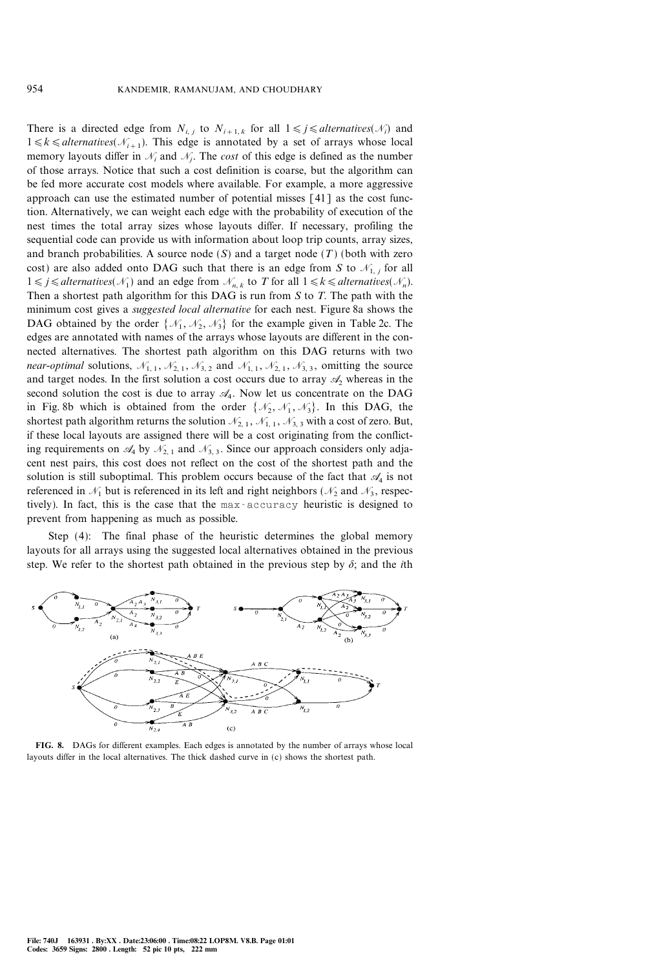There is a directed edge from  $N_{i,j}$  to  $N_{i+1,k}$  for all  $1 \leq j \leq$  alternatives( $N_i$ ) and  $1 \le k \le$  alternatives( $\mathcal{N}_{i+1}$ ). This edge is annotated by a set of arrays whose local memory layouts differ in  $\mathcal{N}_i$  and  $\mathcal{N}_i$ . The cost of this edge is defined as the number of those arrays. Notice that such a cost definition is coarse, but the algorithm can be fed more accurate cost models where available. For example, a more aggressive approach can use the estimated number of potential misses [41] as the cost function. Alternatively, we can weight each edge with the probability of execution of the nest times the total array sizes whose layouts differ. If necessary, profiling the sequential code can provide us with information about loop trip counts, array sizes, and branch probabilities. A source node  $(S)$  and a target node  $(T)$  (both with zero cost) are also added onto DAG such that there is an edge from S to  $\mathcal{N}_{1,i}$  for all  $1 \leq j \leq$  alternatives( $\mathcal{N}_1$ ) and an edge from  $\mathcal{N}_{n,k}$  to T for all  $1 \leq k \leq$  alternatives( $\mathcal{N}_n$ ). Then a shortest path algorithm for this DAG is run from  $S$  to  $T$ . The path with the minimum cost gives a *suggested local alternative* for each nest. Figure 8a shows the DAG obtained by the order  $\{N_1, N_2, N_3\}$  for the example given in Table 2c. The edges are annotated with names of the arrays whose layouts are different in the connected alternatives. The shortest path algorithm on this DAG returns with two *near-optimal* solutions,  $\mathcal{N}_{1,1}, \mathcal{N}_{2,1}, \mathcal{N}_{3,2}$  and  $\mathcal{N}_{1,1}, \mathcal{N}_{2,1}, \mathcal{N}_{3,3}$ , omitting the source and target nodes. In the first solution a cost occurs due to array  $\mathcal{A}_2$  whereas in the second solution the cost is due to array  $\mathcal{A}_4$ . Now let us concentrate on the DAG in Fig. 8b which is obtained from the order  $\{\mathcal{N}_2, \mathcal{N}_1, \mathcal{N}_3\}$ . In this DAG, the shortest path algorithm returns the solution  $\mathcal{N}_{2,1}$ ,  $\mathcal{N}_{1,1}$ ,  $\mathcal{N}_{3,3}$  with a cost of zero. But, if these local layouts are assigned there will be a cost originating from the conflicting requirements on  $\mathcal{A}_4$  by  $\mathcal{N}_{2,1}$  and  $\mathcal{N}_{3,3}$ . Since our approach considers only adjacent nest pairs, this cost does not reflect on the cost of the shortest path and the solution is still suboptimal. This problem occurs because of the fact that  $\mathcal{A}_4$  is not referenced in  $\mathcal{N}_1$  but is referenced in its left and right neighbors ( $\mathcal{N}_2$  and  $\mathcal{N}_3$ , respectively). In fact, this is the case that the max-accuracy heuristic is designed to prevent from happening as much as possible.

Step (4): The final phase of the heuristic determines the global memory layouts for all arrays using the suggested local alternatives obtained in the previous step. We refer to the shortest path obtained in the previous step by  $\delta$ ; and the *i*th



FIG. 8. DAGs for different examples. Each edges is annotated by the number of arrays whose local layouts differ in the local alternatives. The thick dashed curve in (c) shows the shortest path.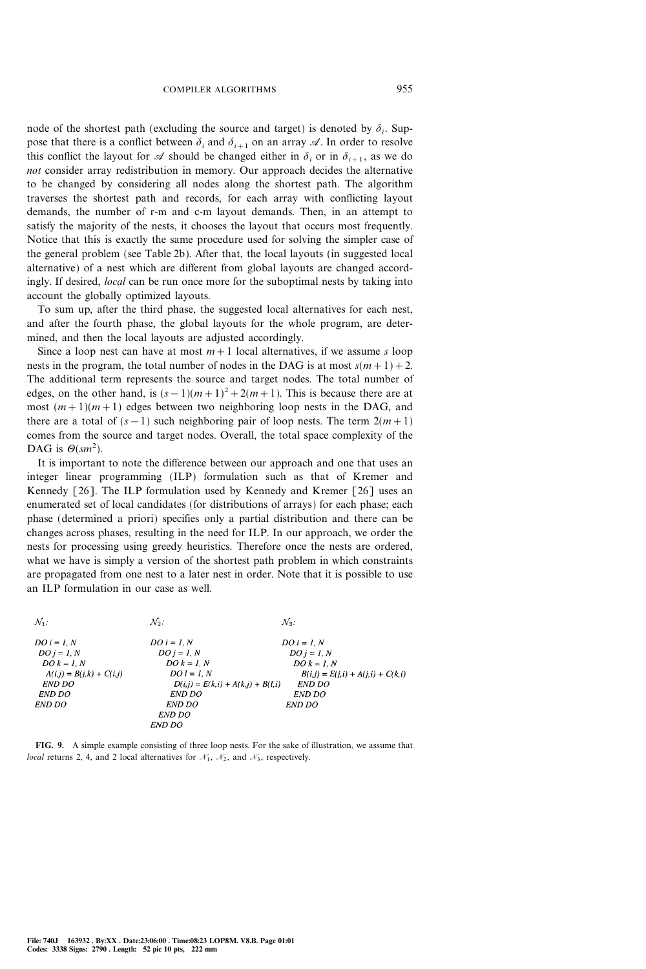node of the shortest path (excluding the source and target) is denoted by  $\delta_i$ . Suppose that there is a conflict between  $\delta_i$  and  $\delta_{i+1}$  on an array  $\mathscr A$ . In order to resolve this conflict the layout for A should be changed either in  $\delta_i$  or in  $\delta_{i+1}$ , as we do not consider array redistribution in memory. Our approach decides the alternative to be changed by considering all nodes along the shortest path. The algorithm traverses the shortest path and records, for each array with conflicting layout demands, the number of r-m and c-m layout demands. Then, in an attempt to satisfy the majority of the nests, it chooses the layout that occurs most frequently. Notice that this is exactly the same procedure used for solving the simpler case of the general problem (see Table 2b). After that, the local layouts (in suggested local alternative) of a nest which are different from global layouts are changed accordingly. If desired, *local* can be run once more for the suboptimal nests by taking into account the globally optimized layouts.

To sum up, after the third phase, the suggested local alternatives for each nest, and after the fourth phase, the global layouts for the whole program, are determined, and then the local layouts are adjusted accordingly.

Since a loop nest can have at most  $m+1$  local alternatives, if we assume s loop nests in the program, the total number of nodes in the DAG is at most  $s(m+1)+2$ . The additional term represents the source and target nodes. The total number of edges, on the other hand, is  $(s-1)(m+1)^2 + 2(m+1)$ . This is because there are at most  $(m+1)(m+1)$  edges between two neighboring loop nests in the DAG, and there are a total of  $(s-1)$  such neighboring pair of loop nests. The term  $2(m+1)$ comes from the source and target nodes. Overall, the total space complexity of the DAG is  $\Theta(sm^2)$ .

It is important to note the difference between our approach and one that uses an integer linear programming (ILP) formulation such as that of Kremer and Kennedy  $\lceil 26 \rceil$ . The ILP formulation used by Kennedy and Kremer  $\lceil 26 \rceil$  uses an enumerated set of local candidates (for distributions of arrays) for each phase; each phase (determined a priori) specifies only a partial distribution and there can be changes across phases, resulting in the need for ILP. In our approach, we order the nests for processing using greedy heuristics. Therefore once the nests are ordered, what we have is simply a version of the shortest path problem in which constraints are propagated from one nest to a later nest in order. Note that it is possible to use an ILP formulation in our case as well.

| $N_1$ :                    | $N_2$ :                             | $N_3$ :                             |
|----------------------------|-------------------------------------|-------------------------------------|
| $DO i = 1, N$              | $DO i = 1, N$                       | $DO i = 1, N$                       |
| $DO j = 1, N$              | $DO j = 1, N$                       | $DO j = 1, N$                       |
| $DO k = 1, N$              | $DO k = 1, N$                       | $DO j = 1, N$                       |
| $A(i,j) = B(j,k) + C(i,j)$ | $DO l = 1, N$                       | $B(i,j) = E(j,i) + A(j,i) + C(k,i)$ |
| $END DO$                   | $D(i,j) = E(k,i) + A(k,j) + B(l,i)$ | $END DO$                            |
| $END DO$                   | $END DO$                            | $END DO$                            |
| $END DO$                   | $END DO$                            | $END DO$                            |
| $END DO$                   | $END DO$                            | $END DO$                            |

FIG. 9. A simple example consisting of three loop nests. For the sake of illustration, we assume that *local* returns 2, 4, and 2 local alternatives for  $\mathcal{N}_1$ ,  $\mathcal{N}_2$ , and  $\mathcal{N}_3$ , respectively.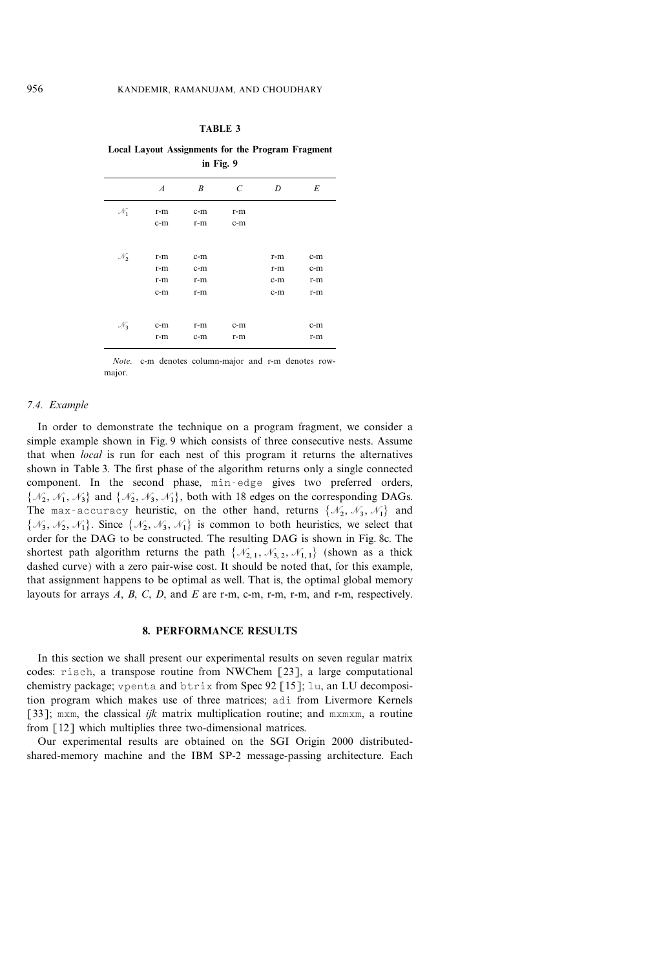### TABLE 3

|                   | $\boldsymbol{A}$ | $\boldsymbol{B}$ | $\mathcal{C}_{0}^{0}$ | D   | E   |
|-------------------|------------------|------------------|-----------------------|-----|-----|
| $\mathcal{N}_1$   | r-m              | c-m              | r-m                   |     |     |
|                   | c-m              | r-m              | c-m                   |     |     |
|                   |                  |                  |                       |     |     |
| $\mathcal{N}_{2}$ | r-m              | c-m              |                       | r-m | c-m |
|                   | r-m              | c-m              |                       | r-m | c-m |
|                   | r-m              | r-m              |                       | c-m | r-m |
|                   | c-m              | r-m              |                       | c-m | r-m |
|                   |                  |                  |                       |     |     |
| $\mathcal{N}_3$   | c-m              | r-m              | c-m                   |     | c-m |
|                   | r-m              | c-m              | r-m                   |     | r-m |
|                   |                  |                  |                       |     |     |

Local Layout Assignments for the Program Fragment in Fig. 9

Note. c-m denotes column-major and r-m denotes rowmajor.

## 7.4. Example

In order to demonstrate the technique on a program fragment, we consider a simple example shown in Fig. 9 which consists of three consecutive nests. Assume that when *local* is run for each nest of this program it returns the alternatives shown in Table 3. The first phase of the algorithm returns only a single connected component. In the second phase, min-edge gives two preferred orders,  $\{\mathcal{N}_2, \mathcal{N}_1, \mathcal{N}_3\}$  and  $\{\mathcal{N}_2, \mathcal{N}_3, \mathcal{N}_1\}$ , both with 18 edges on the corresponding DAGs. The max-accuracy heuristic, on the other hand, returns  $\{\mathcal{N}_2, \mathcal{N}_3, \mathcal{N}_1\}$  and  $\{\mathcal{N}_3, \mathcal{N}_2, \mathcal{N}_1\}$ . Since  $\{\mathcal{N}_2, \mathcal{N}_3, \mathcal{N}_1\}$  is common to both heuristics, we select that order for the DAG to be constructed. The resulting DAG is shown in Fig. 8c. The shortest path algorithm returns the path  $\{\mathcal{N}_{2,1}, \mathcal{N}_{3,2}, \mathcal{N}_{1,1}\}$  (shown as a thick dashed curve) with a zero pair-wise cost. It should be noted that, for this example, that assignment happens to be optimal as well. That is, the optimal global memory layouts for arrays  $A$ ,  $B$ ,  $C$ ,  $D$ , and  $E$  are r-m, c-m, r-m, r-m, and r-m, respectively.

## 8. PERFORMANCE RESULTS

In this section we shall present our experimental results on seven regular matrix codes: risch, a transpose routine from NWChem [23], a large computational chemistry package; vpenta and btrix from Spec 92 [15]; lu, an LU decomposition program which makes use of three matrices; adi from Livermore Kernels [33]; mxm, the classical *ijk* matrix multiplication routine; and mxmxm, a routine from [12] which multiplies three two-dimensional matrices.

Our experimental results are obtained on the SGI Origin 2000 distributedshared-memory machine and the IBM SP-2 message-passing architecture. Each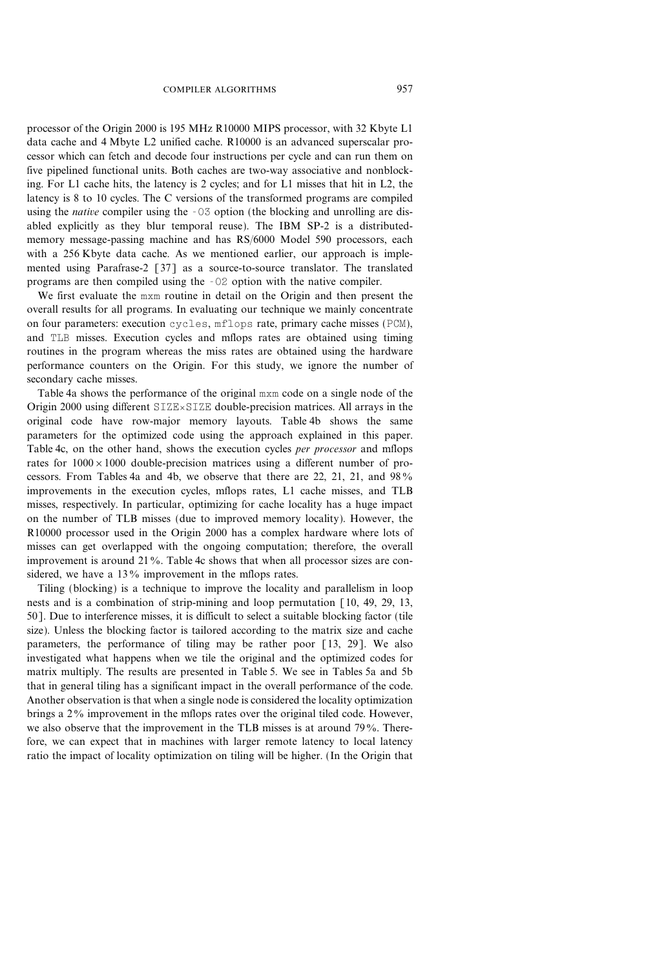processor of the Origin 2000 is 195 MHz R10000 MIPS processor, with 32 Kbyte L1 data cache and 4 Mbyte L2 unified cache. R10000 is an advanced superscalar processor which can fetch and decode four instructions per cycle and can run them on five pipelined functional units. Both caches are two-way associative and nonblocking. For L1 cache hits, the latency is 2 cycles; and for L1 misses that hit in L2, the latency is 8 to 10 cycles. The C versions of the transformed programs are compiled using the *native* compiler using the  $-03$  option (the blocking and unrolling are disabled explicitly as they blur temporal reuse). The IBM SP-2 is a distributedmemory message-passing machine and has RS/6000 Model 590 processors, each with a 256 Kbyte data cache. As we mentioned earlier, our approach is implemented using Parafrase-2 [37] as a source-to-source translator. The translated programs are then compiled using the -02 option with the native compiler.

We first evaluate the mxm routine in detail on the Origin and then present the overall results for all programs. In evaluating our technique we mainly concentrate on four parameters: execution cycles, mflops rate, primary cache misses (PCM), and TLB misses. Execution cycles and mflops rates are obtained using timing routines in the program whereas the miss rates are obtained using the hardware performance counters on the Origin. For this study, we ignore the number of secondary cache misses.

Table 4a shows the performance of the original mxm code on a single node of the Origin 2000 using different  $SLZE \times SLZE$  double-precision matrices. All arrays in the original code have row-major memory layouts. Table 4b shows the same parameters for the optimized code using the approach explained in this paper. Table 4c, on the other hand, shows the execution cycles *per processor* and mflops rates for  $1000 \times 1000$  double-precision matrices using a different number of processors. From Tables 4a and 4b, we observe that there are  $22$ ,  $21$ ,  $21$ , and  $98\%$ improvements in the execution cycles, mflops rates, L1 cache misses, and TLB misses, respectively. In particular, optimizing for cache locality has a huge impact on the number of TLB misses (due to improved memory locality). However, the R10000 processor used in the Origin 2000 has a complex hardware where lots of misses can get overlapped with the ongoing computation; therefore, the overall improvement is around  $21\%$ . Table 4c shows that when all processor sizes are considered, we have a  $13\%$  improvement in the mflops rates.

Tiling (blocking) is a technique to improve the locality and parallelism in loop nests and is a combination of strip-mining and loop permutation [10, 49, 29, 13, 50]. Due to interference misses, it is difficult to select a suitable blocking factor (tile size). Unless the blocking factor is tailored according to the matrix size and cache parameters, the performance of tiling may be rather poor [13, 29]. We also investigated what happens when we tile the original and the optimized codes for matrix multiply. The results are presented in Table 5. We see in Tables 5a and 5b that in general tiling has a significant impact in the overall performance of the code. Another observation is that when a single node is considered the locality optimization brings a 2% improvement in the mflops rates over the original tiled code. However, we also observe that the improvement in the TLB misses is at around  $79\%$ . Therefore, we can expect that in machines with larger remote latency to local latency ratio the impact of locality optimization on tiling will be higher. (In the Origin that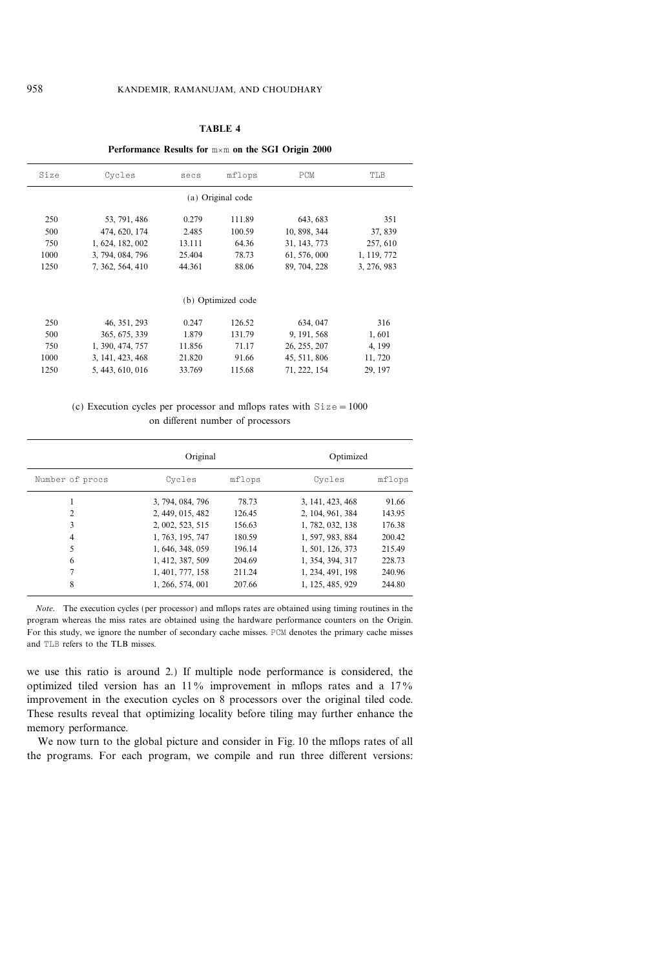### TABLE 4

| Size | Cycles             | secs   | mflops | PCM          | TLB         |  |  |  |  |
|------|--------------------|--------|--------|--------------|-------------|--|--|--|--|
|      | (a) Original code  |        |        |              |             |  |  |  |  |
| 250  | 53, 791, 486       | 0.279  | 111.89 | 643, 683     | 351         |  |  |  |  |
| 500  | 474, 620, 174      | 2.485  | 100.59 | 10, 898, 344 | 37, 839     |  |  |  |  |
| 750  | 1, 624, 182, 002   | 13.111 | 64.36  | 31, 143, 773 | 257, 610    |  |  |  |  |
| 1000 | 3, 794, 084, 796   | 25.404 | 78.73  | 61, 576, 000 | 1, 119, 772 |  |  |  |  |
| 1250 | 7, 362, 564, 410   | 44.361 | 88.06  | 89, 704, 228 | 3, 276, 983 |  |  |  |  |
|      | (b) Optimized code |        |        |              |             |  |  |  |  |
| 250  | 46, 351, 293       | 0.247  | 126.52 | 634, 047     | 316         |  |  |  |  |
| 500  | 365, 675, 339      | 1.879  | 131.79 | 9, 191, 568  | 1,601       |  |  |  |  |
| 750  | 1, 390, 474, 757   | 11.856 | 71.17  | 26, 255, 207 | 4, 199      |  |  |  |  |
| 1000 | 3, 141, 423, 468   | 21.820 | 91.66  | 45, 511, 806 | 11, 720     |  |  |  |  |
| 1250 | 5, 443, 610, 016   | 33.769 | 115.68 | 71, 222, 154 | 29, 197     |  |  |  |  |
|      |                    |        |        |              |             |  |  |  |  |

## Performance Results for  $m \times m$  on the SGI Origin 2000

(c) Execution cycles per processor and mflops rates with  $Size = 1000$ on different number of processors

|                 | Original         |        | Optimized        |        |  |
|-----------------|------------------|--------|------------------|--------|--|
| Number of procs | Cycles           | mflops | Cycles           | mflops |  |
|                 | 3, 794, 084, 796 | 78.73  | 3, 141, 423, 468 | 91.66  |  |
| 2               | 2, 449, 015, 482 | 126.45 | 2, 104, 961, 384 | 143.95 |  |
| 3               | 2, 002, 523, 515 | 156.63 | 1, 782, 032, 138 | 176.38 |  |
| 4               | 1, 763, 195, 747 | 180.59 | 1, 597, 983, 884 | 200.42 |  |
| 5               | 1, 646, 348, 059 | 196.14 | 1, 501, 126, 373 | 215.49 |  |
| 6               | 1, 412, 387, 509 | 204.69 | 1, 354, 394, 317 | 228.73 |  |
| 7               | 1, 401, 777, 158 | 211.24 | 1, 234, 491, 198 | 240.96 |  |
| 8               | 1, 266, 574, 001 | 207.66 | 1, 125, 485, 929 | 244.80 |  |

Note. The execution cycles (per processor) and mflops rates are obtained using timing routines in the program whereas the miss rates are obtained using the hardware performance counters on the Origin. For this study, we ignore the number of secondary cache misses. PCM denotes the primary cache misses and TLB refers to the TLB misses.

we use this ratio is around 2.) If multiple node performance is considered, the optimized tiled version has an  $11\%$  improvement in mflops rates and a  $17\%$ improvement in the execution cycles on 8 processors over the original tiled code. These results reveal that optimizing locality before tiling may further enhance the memory performance.

We now turn to the global picture and consider in Fig. 10 the mflops rates of all the programs. For each program, we compile and run three different versions: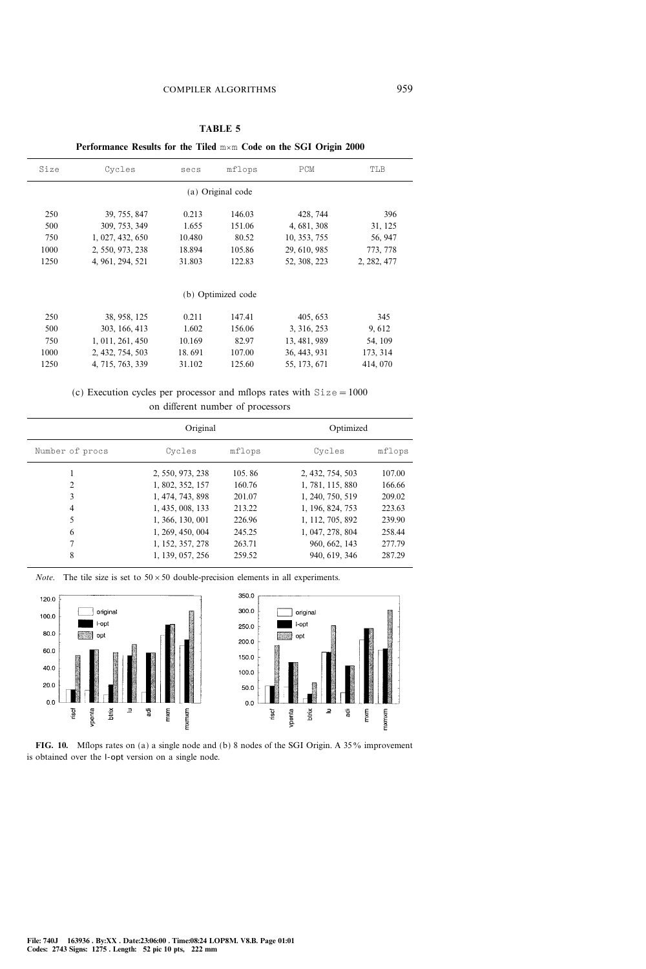## TABLE 5

# Performance Results for the Tiled mxm Code on the SGI Origin 2000

| Size              | Cycles           | secs   | mflops             | PCM          | TLB         |  |  |  |
|-------------------|------------------|--------|--------------------|--------------|-------------|--|--|--|
| (a) Original code |                  |        |                    |              |             |  |  |  |
| 250               | 39, 755, 847     | 0.213  | 146.03             | 428, 744     | 396         |  |  |  |
| 500               | 309, 753, 349    | 1.655  | 151.06             | 4, 681, 308  | 31, 125     |  |  |  |
| 750               | 1, 027, 432, 650 | 10.480 | 80.52              | 10, 353, 755 | 56, 947     |  |  |  |
| 1000              | 2, 550, 973, 238 | 18.894 | 105.86             | 29, 610, 985 | 773, 778    |  |  |  |
| 1250              | 4, 961, 294, 521 | 31.803 | 122.83             | 52, 308, 223 | 2, 282, 477 |  |  |  |
|                   |                  |        | (b) Optimized code |              |             |  |  |  |
| 250               | 38, 958, 125     | 0.211  | 147.41             | 405, 653     | 345         |  |  |  |
| 500               | 303, 166, 413    | 1.602  | 156.06             | 3, 316, 253  | 9,612       |  |  |  |
| 750               | 1, 011, 261, 450 | 10.169 | 82.97              | 13, 481, 989 | 54, 109     |  |  |  |
| 1000              | 2, 432, 754, 503 | 18.691 | 107.00             | 36, 443, 931 | 173, 314    |  |  |  |
| 1250              | 4, 715, 763, 339 | 31.102 | 125.60             | 55, 173, 671 | 414, 070    |  |  |  |
|                   |                  |        |                    |              |             |  |  |  |

(c) Execution cycles per processor and mflops rates with  $Size = 1000$ on different number of processors

|                 | Original         |        | Optimized        |        |
|-----------------|------------------|--------|------------------|--------|
| Number of procs | Cycles           | mflops | Cycles           | mflops |
|                 | 2, 550, 973, 238 | 105.86 | 2, 432, 754, 503 | 107.00 |
| 2               | 1, 802, 352, 157 | 160.76 | 1, 781, 115, 880 | 166.66 |
| 3               | 1, 474, 743, 898 | 201.07 | 1, 240, 750, 519 | 209.02 |
| $\overline{4}$  | 1, 435, 008, 133 | 213.22 | 1, 196, 824, 753 | 223.63 |
| 5               | 1, 366, 130, 001 | 226.96 | 1, 112, 705, 892 | 239.90 |
| 6               | 1, 269, 450, 004 | 245.25 | 1, 047, 278, 804 | 258.44 |
| 7               | 1, 152, 357, 278 | 263.71 | 960, 662, 143    | 277.79 |
| 8               | 1, 139, 057, 256 | 259.52 | 940, 619, 346    | 287.29 |

*Note.* The tile size is set to  $50 \times 50$  double-precision elements in all experiments.



FIG. 10. Mflops rates on (a) a single node and (b) 8 nodes of the SGI Origin. A 35% improvement is obtained over the l-opt version on a single node.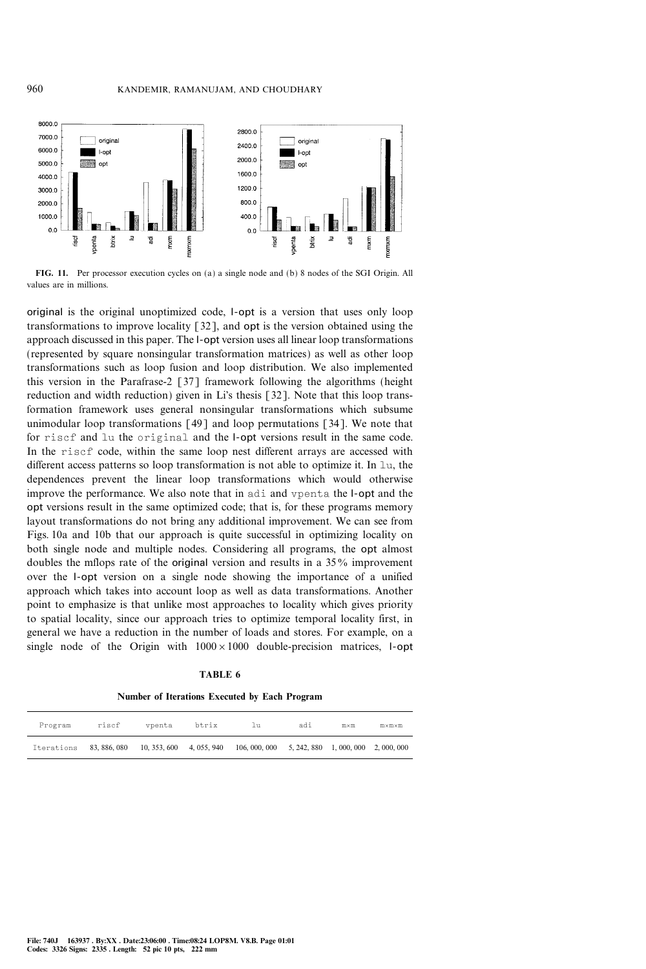

FIG. 11. Per processor execution cycles on (a) a single node and (b) 8 nodes of the SGI Origin. All values are in millions.

original is the original unoptimized code, l-opt is a version that uses only loop transformations to improve locality [32], and opt is the version obtained using the approach discussed in this paper. The l-opt version uses all linear loop transformations (represented by square nonsingular transformation matrices) as well as other loop transformations such as loop fusion and loop distribution. We also implemented this version in the Parafrase-2 [37] framework following the algorithms (height reduction and width reduction) given in Li's thesis [32]. Note that this loop transformation framework uses general nonsingular transformations which subsume unimodular loop transformations [49] and loop permutations [34]. We note that for riscf and lu the original and the l-opt versions result in the same code. In the riscf code, within the same loop nest different arrays are accessed with different access patterns so loop transformation is not able to optimize it. In  $\mathbb{1}u$ , the dependences prevent the linear loop transformations which would otherwise improve the performance. We also note that in adi and vpenta the l-opt and the opt versions result in the same optimized code; that is, for these programs memory layout transformations do not bring any additional improvement. We can see from Figs. 10a and 10b that our approach is quite successful in optimizing locality on both single node and multiple nodes. Considering all programs, the opt almost doubles the mflops rate of the original version and results in a  $35\%$  improvement over the l-opt version on a single node showing the importance of a unified approach which takes into account loop as well as data transformations. Another point to emphasize is that unlike most approaches to locality which gives priority to spatial locality, since our approach tries to optimize temporal locality first, in general we have a reduction in the number of loads and stores. For example, on a single node of the Origin with  $1000 \times 1000$  double-precision matrices, l-opt

TABLE 6

|  |  | Number of Iterations Executed by Each Program |  |  |  |  |
|--|--|-----------------------------------------------|--|--|--|--|
|--|--|-----------------------------------------------|--|--|--|--|

| Program    | riscf        | vpenta                   | btrix | Πu            | adi                     | $m \times m$ | $m \times m \times m$ |
|------------|--------------|--------------------------|-------|---------------|-------------------------|--------------|-----------------------|
| Iterations | 83, 886, 080 | 10, 353, 600 4, 055, 940 |       | 106, 000, 000 | 5, 242, 880 1, 000, 000 |              | 2, 000, 000           |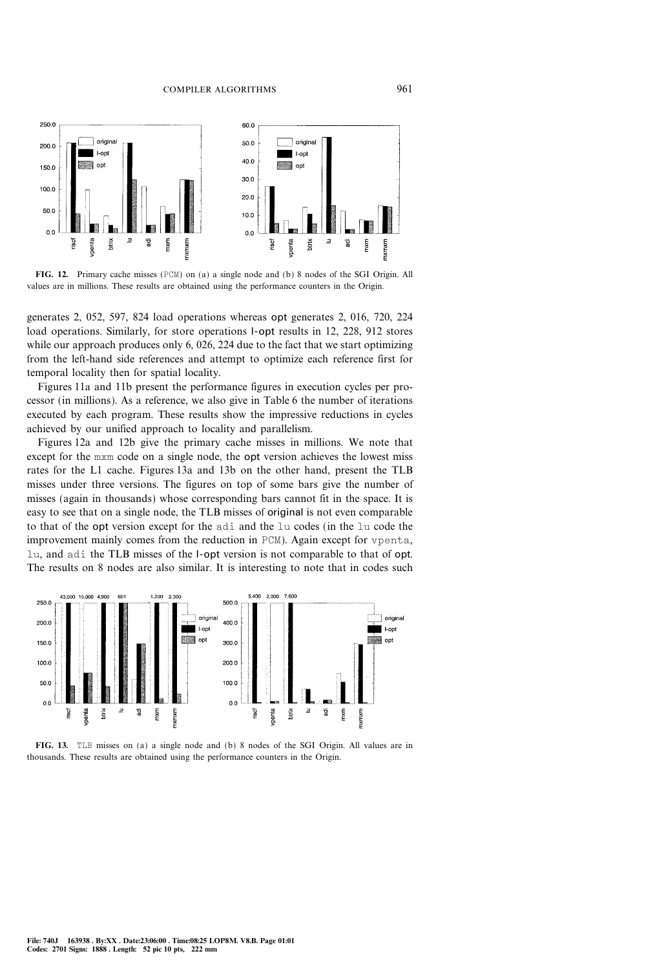

FIG. 12. Primary cache misses (PCM) on (a) a single node and (b) 8 nodes of the SGI Origin. All values are in millions. These results are obtained using the performance counters in the Origin.

generates 2, 052, 597, 824 load operations whereas opt generates 2, 016, 720, 224 load operations. Similarly, for store operations l-opt results in 12, 228, 912 stores while our approach produces only 6, 026, 224 due to the fact that we start optimizing from the left-hand side references and attempt to optimize each reference first for temporal locality then for spatial locality.

Figures 11a and 11b present the performance figures in execution cycles per processor (in millions). As a reference, we also give in Table 6 the number of iterations executed by each program. These results show the impressive reductions in cycles achieved by our unified approach to locality and parallelism.

Figures 12a and 12b give the primary cache misses in millions. We note that except for the mxm code on a single node, the opt version achieves the lowest miss rates for the L1 cache. Figures 13a and 13b on the other hand, present the TLB misses under three versions. The figures on top of some bars give the number of misses (again in thousands) whose corresponding bars cannot fit in the space. It is easy to see that on a single node, the TLB misses of original is not even comparable to that of the opt version except for the adi and the lu codes (in the lu code the improvement mainly comes from the reduction in PCM). Again except for vpenta, lu, and adi the TLB misses of the l-opt version is not comparable to that of opt. The results on 8 nodes are also similar. It is interesting to note that in codes such



FIG. 13. TLB misses on (a) a single node and (b) 8 nodes of the SGI Origin. All values are in thousands. These results are obtained using the performance counters in the Origin.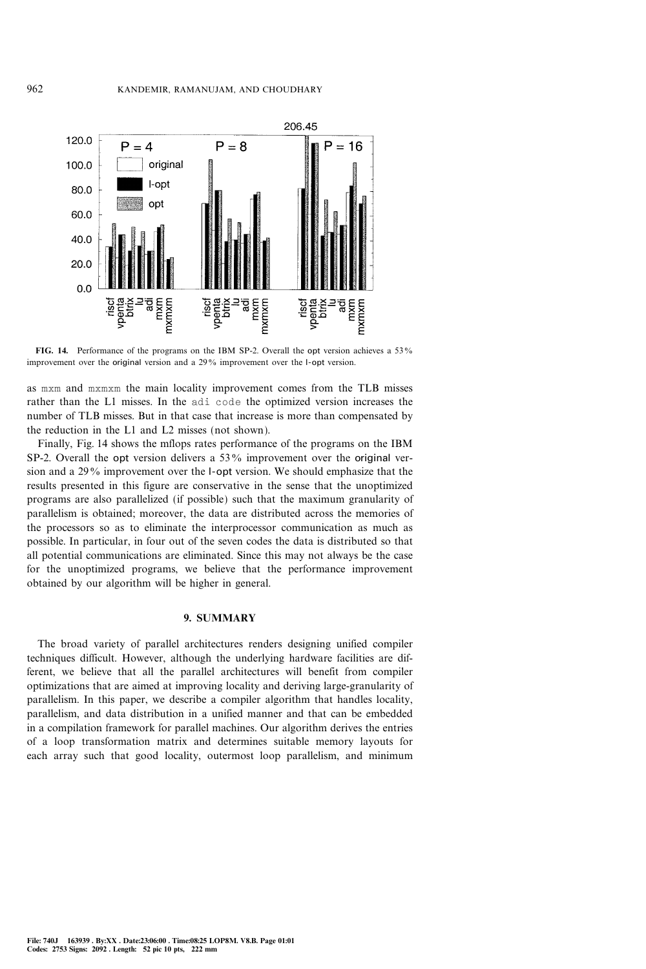

FIG. 14. Performance of the programs on the IBM SP-2. Overall the opt version achieves a 53% improvement over the original version and a 29% improvement over the l-opt version.

as mxm and mxmxm the main locality improvement comes from the TLB misses rather than the L1 misses. In the adi code the optimized version increases the number of TLB misses. But in that case that increase is more than compensated by the reduction in the L1 and L2 misses (not shown).

Finally, Fig. 14 shows the mflops rates performance of the programs on the IBM SP-2. Overall the opt version delivers a  $53\%$  improvement over the original version and a 29% improvement over the l-opt version. We should emphasize that the results presented in this figure are conservative in the sense that the unoptimized programs are also parallelized (if possible) such that the maximum granularity of parallelism is obtained; moreover, the data are distributed across the memories of the processors so as to eliminate the interprocessor communication as much as possible. In particular, in four out of the seven codes the data is distributed so that all potential communications are eliminated. Since this may not always be the case for the unoptimized programs, we believe that the performance improvement obtained by our algorithm will be higher in general.

# 9. SUMMARY

The broad variety of parallel architectures renders designing unified compiler techniques difficult. However, although the underlying hardware facilities are different, we believe that all the parallel architectures will benefit from compiler optimizations that are aimed at improving locality and deriving large-granularity of parallelism. In this paper, we describe a compiler algorithm that handles locality, parallelism, and data distribution in a unified manner and that can be embedded in a compilation framework for parallel machines. Our algorithm derives the entries of a loop transformation matrix and determines suitable memory layouts for each array such that good locality, outermost loop parallelism, and minimum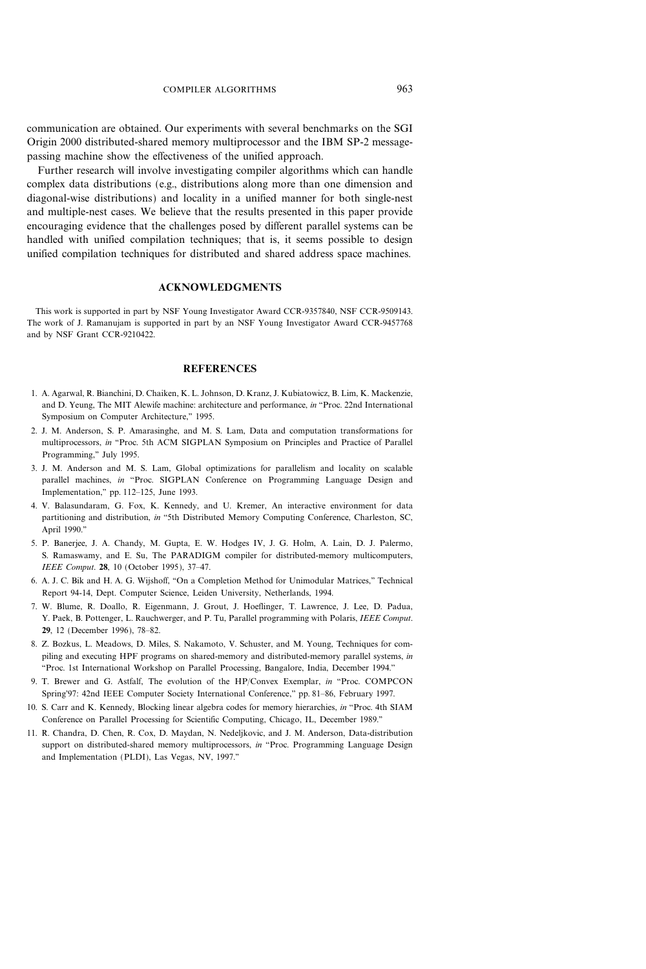communication are obtained. Our experiments with several benchmarks on the SGI Origin 2000 distributed-shared memory multiprocessor and the IBM SP-2 messagepassing machine show the effectiveness of the unified approach.

Further research will involve investigating compiler algorithms which can handle complex data distributions (e.g., distributions along more than one dimension and diagonal-wise distributions) and locality in a unified manner for both single-nest and multiple-nest cases. We believe that the results presented in this paper provide encouraging evidence that the challenges posed by different parallel systems can be handled with unified compilation techniques; that is, it seems possible to design unified compilation techniques for distributed and shared address space machines.

# ACKNOWLEDGMENTS

This work is supported in part by NSF Young Investigator Award CCR-9357840, NSF CCR-9509143. The work of J. Ramanujam is supported in part by an NSF Young Investigator Award CCR-9457768 and by NSF Grant CCR-9210422.

## **REFERENCES**

- 1. A. Agarwal, R. Bianchini, D. Chaiken, K. L. Johnson, D. Kranz, J. Kubiatowicz, B. Lim, K. Mackenzie, and D. Yeung, The MIT Alewife machine: architecture and performance, in "Proc. 22nd International Symposium on Computer Architecture," 1995.
- 2. J. M. Anderson, S. P. Amarasinghe, and M. S. Lam, Data and computation transformations for multiprocessors, in "Proc. 5th ACM SIGPLAN Symposium on Principles and Practice of Parallel Programming,'' July 1995.
- 3. J. M. Anderson and M. S. Lam, Global optimizations for parallelism and locality on scalable parallel machines, in "Proc. SIGPLAN Conference on Programming Language Design and Implementation," pp.  $112-125$ , June 1993.
- 4. V. Balasundaram, G. Fox, K. Kennedy, and U. Kremer, An interactive environment for data partitioning and distribution, in "5th Distributed Memory Computing Conference, Charleston, SC, April 1990.''
- 5. P. Banerjee, J. A. Chandy, M. Gupta, E. W. Hodges IV, J. G. Holm, A. Lain, D. J. Palermo, S. Ramaswamy, and E. Su, The PARADIGM compiler for distributed-memory multicomputers, IEEE Comput. 28, 10 (October 1995), 37-47.
- 6. A. J. C. Bik and H. A. G. Wijshoff, "On a Completion Method for Unimodular Matrices," Technical Report 94-14, Dept. Computer Science, Leiden University, Netherlands, 1994.
- 7. W. Blume, R. Doallo, R. Eigenmann, J. Grout, J. Hoeflinger, T. Lawrence, J. Lee, D. Padua, Y. Paek, B. Pottenger, L. Rauchwerger, and P. Tu, Parallel programming with Polaris, IEEE Comput. 29, 12 (December 1996), 78-82.
- 8. Z. Bozkus, L. Meadows, D. Miles, S. Nakamoto, V. Schuster, and M. Young, Techniques for compiling and executing HPF programs on shared-memory and distributed-memory parallel systems, in ``Proc. 1st International Workshop on Parallel Processing, Bangalore, India, December 1994.''
- 9. T. Brewer and G. Astfalf, The evolution of the HP/Convex Exemplar, in "Proc. COMPCON Spring'97: 42nd IEEE Computer Society International Conference," pp. 81-86, February 1997.
- 10. S. Carr and K. Kennedy, Blocking linear algebra codes for memory hierarchies, in "Proc. 4th SIAM Conference on Parallel Processing for Scientific Computing, Chicago, IL, December 1989.''
- 11. R. Chandra, D. Chen, R. Cox, D. Maydan, N. Nedeljkovic, and J. M. Anderson, Data-distribution support on distributed-shared memory multiprocessors, in "Proc. Programming Language Design and Implementation (PLDI), Las Vegas, NV, 1997.''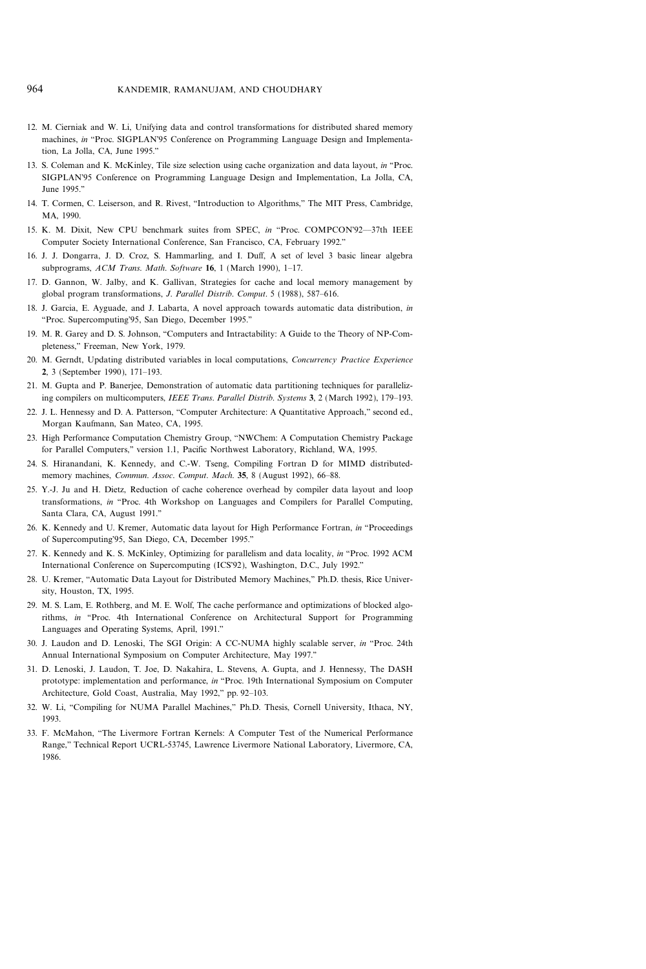- 12. M. Cierniak and W. Li, Unifying data and control transformations for distributed shared memory machines, in "Proc. SIGPLAN'95 Conference on Programming Language Design and Implementation, La Jolla, CA, June 1995.''
- 13. S. Coleman and K. McKinley, Tile size selection using cache organization and data layout, in "Proc. SIGPLAN'95 Conference on Programming Language Design and Implementation, La Jolla, CA, June 1995.''
- 14. T. Cormen, C. Leiserson, and R. Rivest, "Introduction to Algorithms," The MIT Press, Cambridge, MA, 1990.
- 15. K. M. Dixit, New CPU benchmark suites from SPEC, in "Proc. COMPCON'92-37th IEEE Computer Society International Conference, San Francisco, CA, February 1992.''
- 16. J. J. Dongarra, J. D. Croz, S. Hammarling, and I. Duff, A set of level 3 basic linear algebra subprograms, ACM Trans. Math. Software 16, 1 (March 1990), 1-17.
- 17. D. Gannon, W. Jalby, and K. Gallivan, Strategies for cache and local memory management by global program transformations, J. Parallel Distrib. Comput. 5 (1988), 587-616.
- 18. J. Garcia, E. Ayguade, and J. Labarta, A novel approach towards automatic data distribution, in ``Proc. Supercomputing'95, San Diego, December 1995.''
- 19. M. R. Garey and D. S. Johnson, "Computers and Intractability: A Guide to the Theory of NP-Completeness,'' Freeman, New York, 1979.
- 20. M. Gerndt, Updating distributed variables in local computations, Concurrency Practice Experience 2, 3 (September 1990), 171-193.
- 21. M. Gupta and P. Banerjee, Demonstration of automatic data partitioning techniques for parallelizing compilers on multicomputers, IEEE Trans. Parallel Distrib. Systems 3, 2 (March 1992), 179-193.
- 22. J. L. Hennessy and D. A. Patterson, "Computer Architecture: A Quantitative Approach," second ed., Morgan Kaufmann, San Mateo, CA, 1995.
- 23. High Performance Computation Chemistry Group, "NWChem: A Computation Chemistry Package for Parallel Computers,'' version 1.1, Pacific Northwest Laboratory, Richland, WA, 1995.
- 24. S. Hiranandani, K. Kennedy, and C.-W. Tseng, Compiling Fortran D for MIMD distributedmemory machines, Commun. Assoc. Comput. Mach. 35, 8 (August 1992), 66-88.
- 25. Y.-J. Ju and H. Dietz, Reduction of cache coherence overhead by compiler data layout and loop transformations, in "Proc. 4th Workshop on Languages and Compilers for Parallel Computing, Santa Clara, CA, August 1991.''
- 26. K. Kennedy and U. Kremer, Automatic data layout for High Performance Fortran, in "Proceedings of Supercomputing'95, San Diego, CA, December 1995.''
- 27. K. Kennedy and K. S. McKinley, Optimizing for parallelism and data locality, in "Proc. 1992 ACM International Conference on Supercomputing (ICS'92), Washington, D.C., July 1992.''
- 28. U. Kremer, "Automatic Data Layout for Distributed Memory Machines," Ph.D. thesis, Rice University, Houston, TX, 1995.
- 29. M. S. Lam, E. Rothberg, and M. E. Wolf, The cache performance and optimizations of blocked algorithms, in "Proc. 4th International Conference on Architectural Support for Programming Languages and Operating Systems, April, 1991.''
- 30. J. Laudon and D. Lenoski, The SGI Origin: A CC-NUMA highly scalable server, in "Proc. 24th Annual International Symposium on Computer Architecture, May 1997.''
- 31. D. Lenoski, J. Laudon, T. Joe, D. Nakahira, L. Stevens, A. Gupta, and J. Hennessy, The DASH prototype: implementation and performance, in "Proc. 19th International Symposium on Computer Architecture, Gold Coast, Australia, May 1992," pp. 92-103.
- 32. W. Li, "Compiling for NUMA Parallel Machines," Ph.D. Thesis, Cornell University, Ithaca, NY, 1993.
- 33. F. McMahon, "The Livermore Fortran Kernels: A Computer Test of the Numerical Performance Range,'' Technical Report UCRL-53745, Lawrence Livermore National Laboratory, Livermore, CA, 1986.